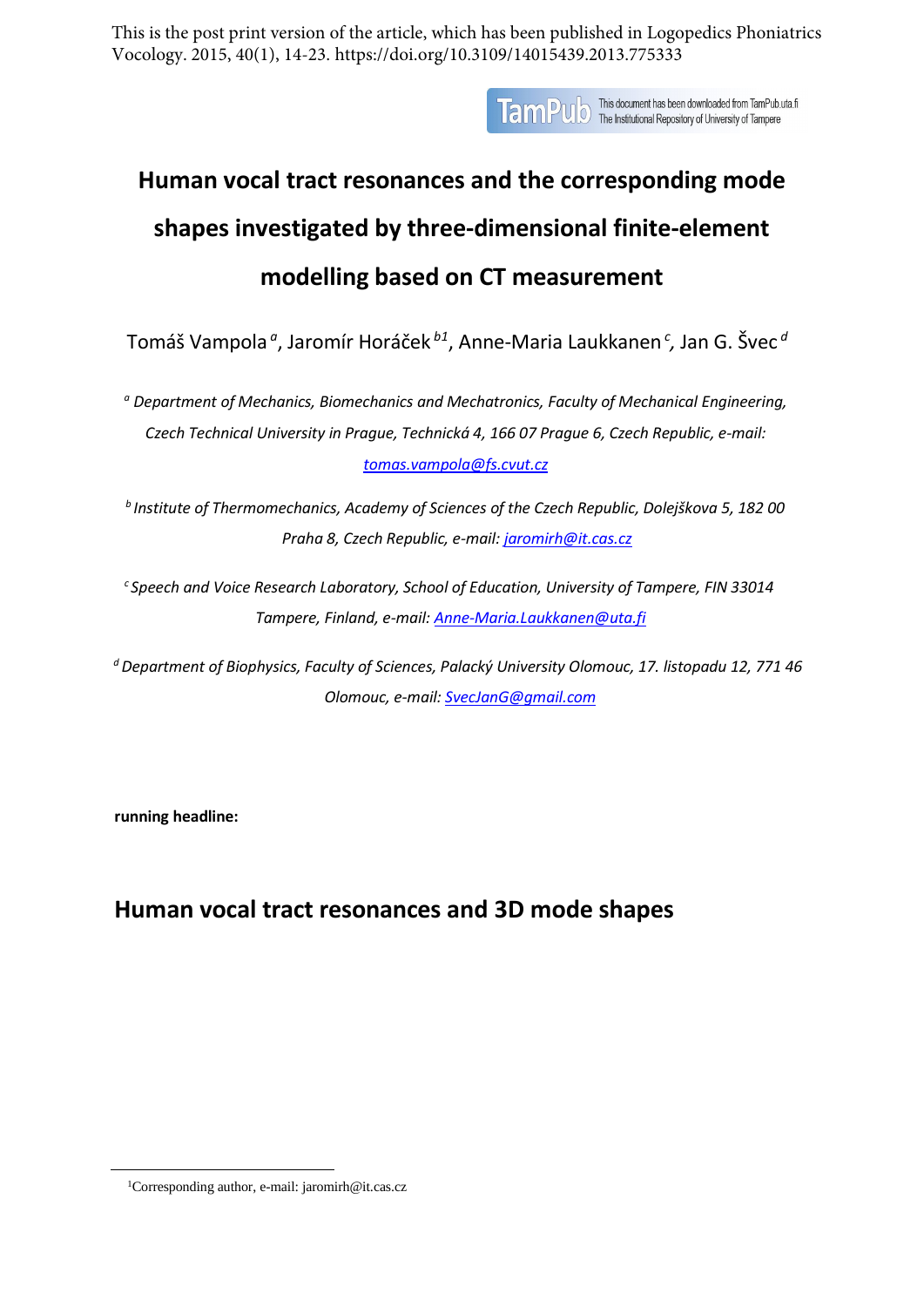This is the post print version of the article, which has been published in Logopedics Phoniatrics Vocology. 2015, 40(1), 14-23. https://doi.org/10.3109/14015439.2013.775333

**TamPU** o This document has been downloaded from TamPub.uta.fi<br>TamPU o The Institutional Repository of University of Tampere

# **Human vocal tract resonances and the corresponding mode shapes investigated by three-dimensional finite-element modelling based [on](#page-0-0) CT measurement**

Tomáš Vampola *<sup>a</sup>* , Jaromír Horáček *b1*, Anne-Maria Laukkanen *<sup>c</sup> ,* Jan G. Švec *<sup>d</sup>*

*a Department of Mechanics, Biomechanics and [Mechatronics,](mailto:tomas.vampola@fs.cvut.cz) Faculty of Mechanical Engineering, Czech Technical University in Prague, Technická 4, 166 07 Prague 6, Czech Republic, e-mail: [tomas.vampola@fs.cvut.cz](mailto:tomas.vampola@fs.cvut.cz)*

*b Institute of Thermomechanics, Academy of Sciences of the Czech Republic, Dolejškova 5, 182 00 Praha 8, Czech Republic, e-mail: [jaromirh@it.cas.cz](mailto:jaromirh@it.cas.cz)*

*c Speech and Voice Research Laboratory, School of Education, University of Tampere, FIN 33014 Tampere, Finland, e-mail: [Anne-Maria.Laukkanen@uta.fi](mailto:Anne-Maria.Laukkanen@uta.fi)*

*d Department of Biophysics, Faculty of Sciences, Palacký University Olomouc, 17. listopadu 12, 771 46 Olomouc, e-mail: [SvecJanG@gmail.com](mailto:SvecJanG@gmail.com)*

**running headline:**

# **Human vocal tract resonances and 3D mode shapes**

<span id="page-0-0"></span><sup>1</sup>Corresponding author, e-mail: [jaromirh@it.cas.cz](mailto:jaromirh@it.cas.cz)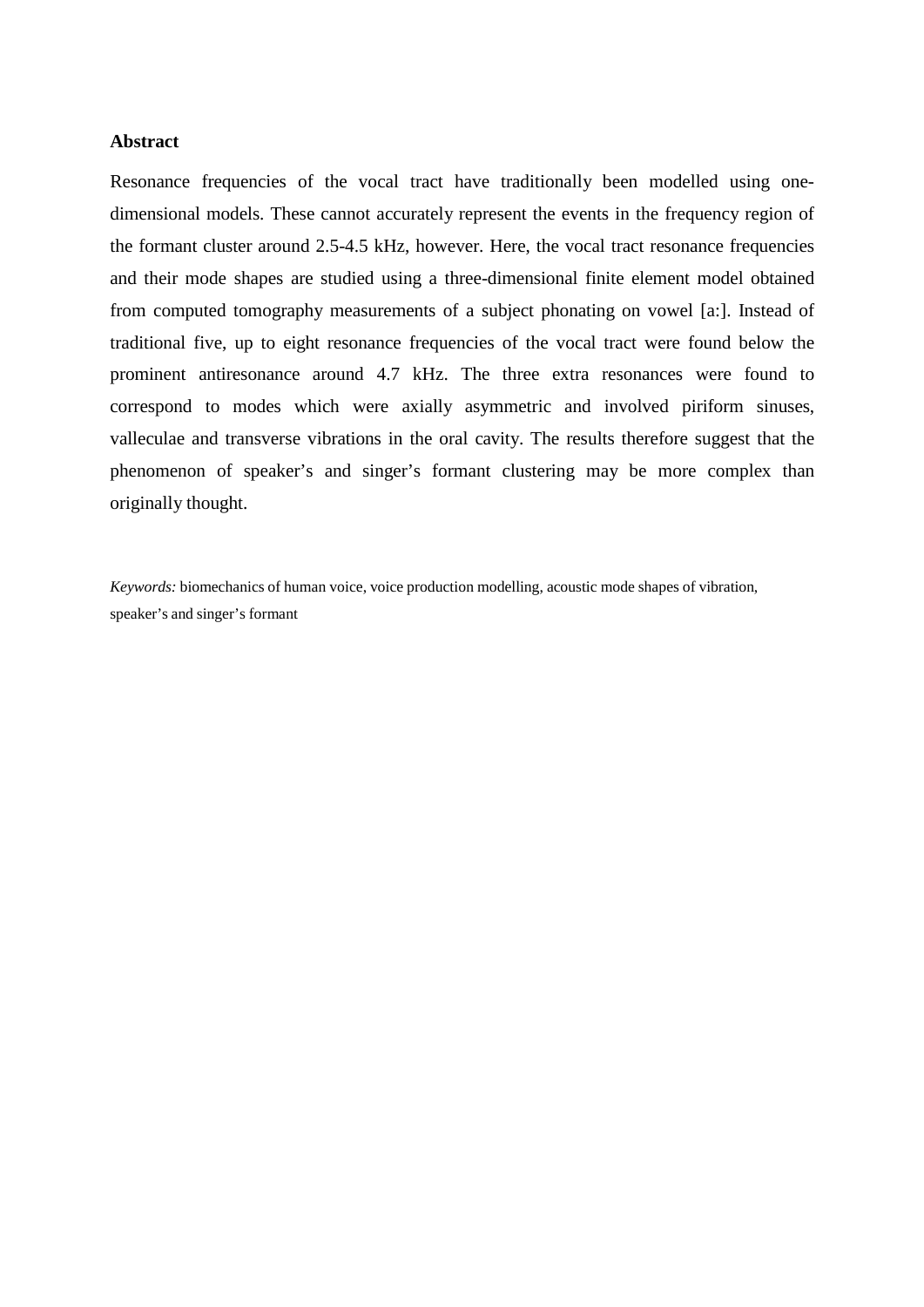#### **Abstract**

Resonance frequencies of the vocal tract have traditionally been modelled using onedimensional models. These cannot accurately represent the events in the frequency region of the formant cluster around 2.5-4.5 kHz, however. Here, the vocal tract resonance frequencies and their mode shapes are studied using a three-dimensional finite element model obtained from computed tomography measurements of a subject phonating on vowel [a:]. Instead of traditional five, up to eight resonance frequencies of the vocal tract were found below the prominent antiresonance around 4.7 kHz. The three extra resonances were found to correspond to modes which were axially asymmetric and involved piriform sinuses, valleculae and transverse vibrations in the oral cavity. The results therefore suggest that the phenomenon of speaker's and singer's formant clustering may be more complex than originally thought.

*Keywords:* biomechanics of human voice, voice production modelling, acoustic mode shapes of vibration, speaker's and singer's formant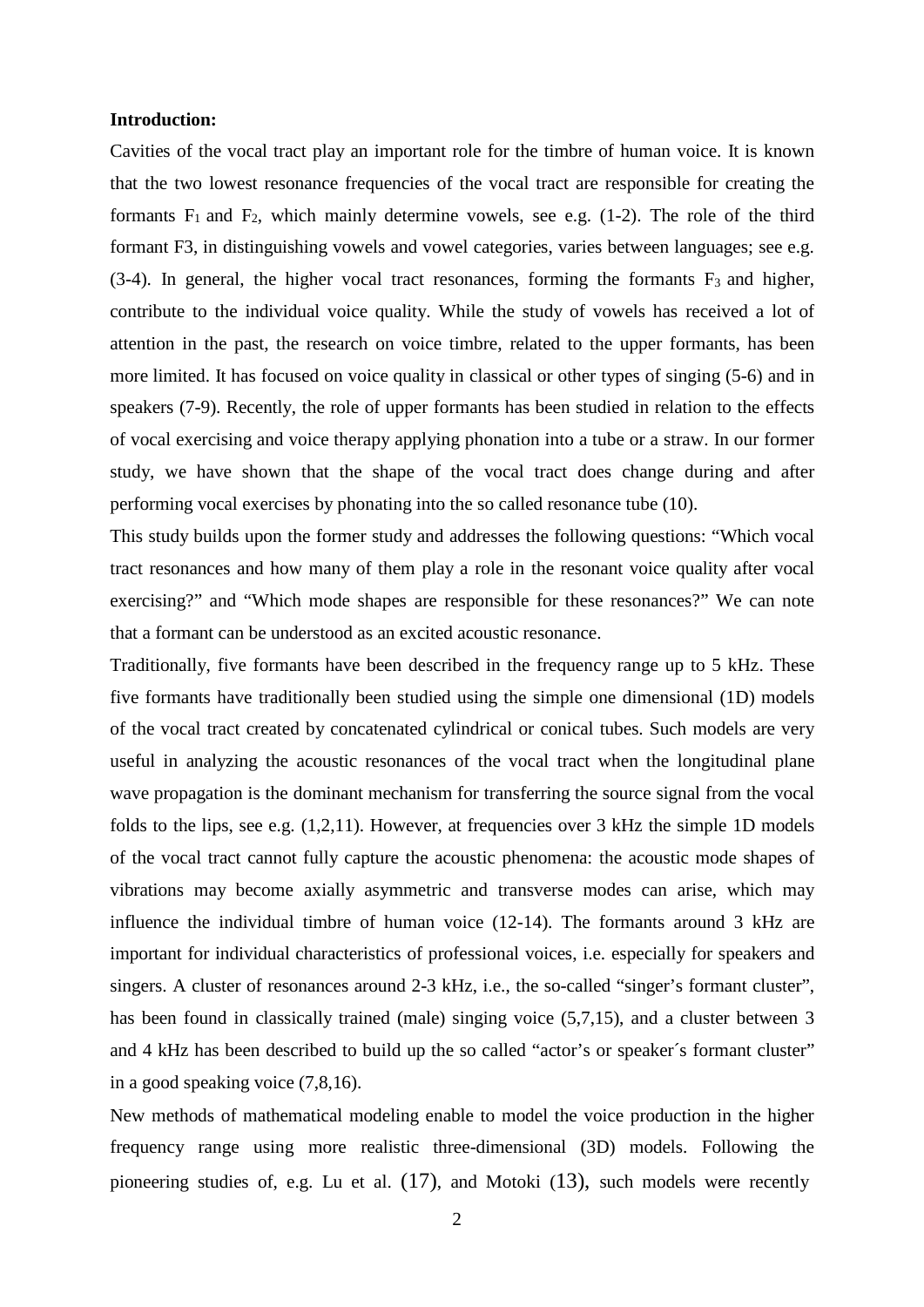#### **Introduction:**

Cavities of the vocal tract play an important role for the timbre of human voice. It is known that the two lowest resonance frequencies of the vocal tract are responsible for creating the formants  $F_1$  and  $F_2$ , which mainly determine vowels, see e.g. (1-2). The role of the third formant F3, in distinguishing vowels and vowel categories, varies between languages; see e.g.  $(3-4)$ . In general, the higher vocal tract resonances, forming the formants  $F_3$  and higher, contribute to the individual voice quality. While the study of vowels has received a lot of attention in the past, the research on voice timbre, related to the upper formants, has been more limited. It has focused on voice quality in classical or other types of singing (5-6) and in speakers (7-9). Recently, the role of upper formants has been studied in relation to the effects of vocal exercising and voice therapy applying phonation into a tube or a straw. In our former study, we have shown that the shape of the vocal tract does change during and after performing vocal exercises by phonating into the so called resonance tube (10).

This study builds upon the former study and addresses the following questions: "Which vocal tract resonances and how many of them play a role in the resonant voice quality after vocal exercising?" and "Which mode shapes are responsible for these resonances?" We can note that a formant can be understood as an excited acoustic resonance.

Traditionally, five formants have been described in the frequency range up to 5 kHz. These five formants have traditionally been studied using the simple one dimensional (1D) models of the vocal tract created by concatenated cylindrical or conical tubes. Such models are very useful in analyzing the acoustic resonances of the vocal tract when the longitudinal plane wave propagation is the dominant mechanism for transferring the source signal from the vocal folds to the lips, see e.g.  $(1,2,11)$ . However, at frequencies over 3 kHz the simple 1D models of the vocal tract cannot fully capture the acoustic phenomena: the acoustic mode shapes of vibrations may become axially asymmetric and transverse modes can arise, which may influence the individual timbre of human voice (12-14). The formants around 3 kHz are important for individual characteristics of professional voices, i.e. especially for speakers and singers. A cluster of resonances around 2-3 kHz, i.e., the so-called "singer's formant cluster", has been found in classically trained (male) singing voice (5,7,15), and a cluster between 3 and 4 kHz has been described to build up the so called "actor's or speaker´s formant cluster" in a good speaking voice (7,8,16).

New methods of mathematical modeling enable to model the voice production in the higher frequency range using more realistic three-dimensional (3D) models. Following the pioneering studies of, e.g. Lu et al.  $(17)$ , and Motoki  $(13)$ , such models were recently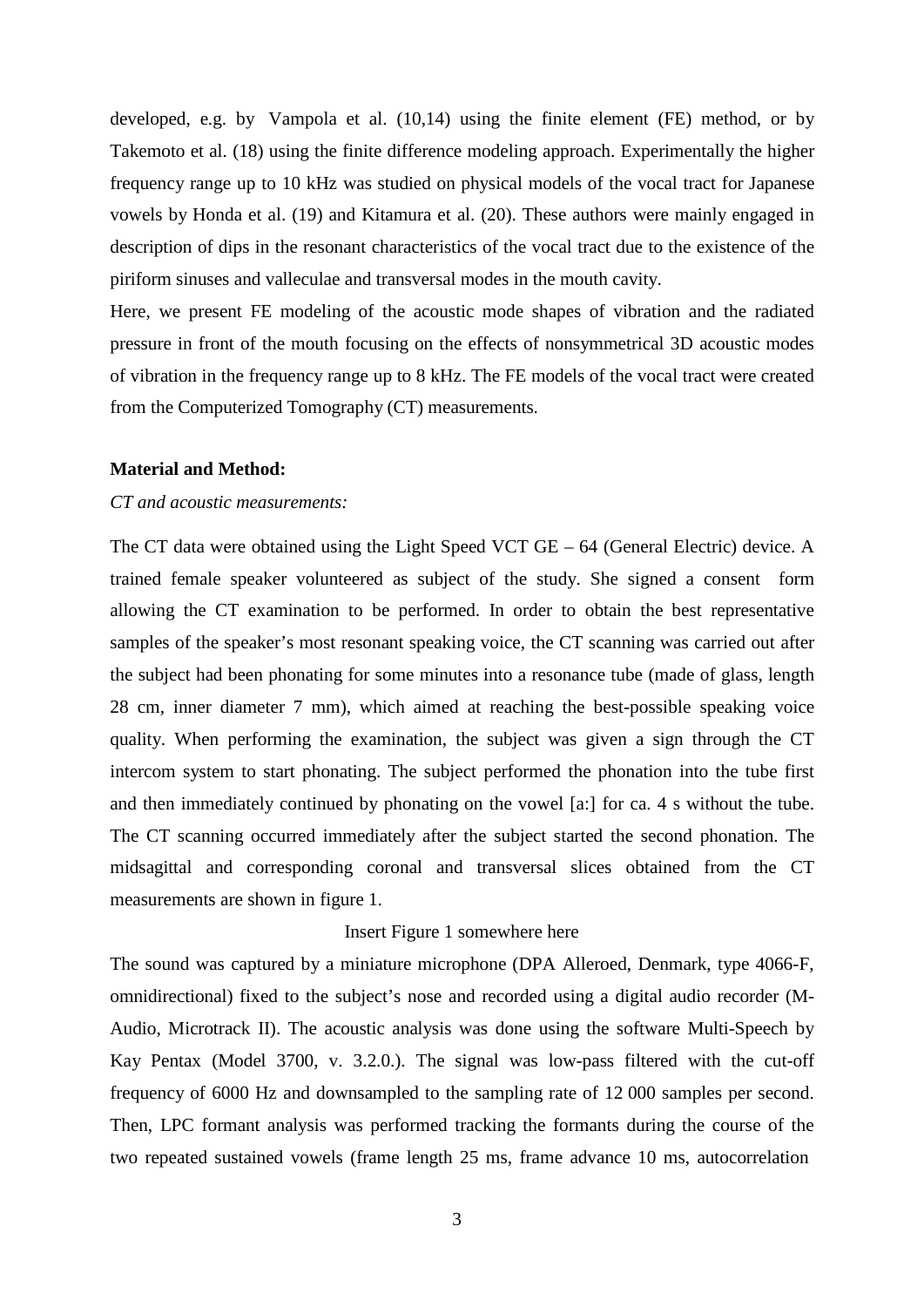developed, e.g. by Vampola et al. (10,14) using the finite element (FE) method, or by Takemoto et al. (18) using the finite difference modeling approach. Experimentally the higher frequency range up to 10 kHz was studied on physical models of the vocal tract for Japanese vowels by Honda et al. (19) and Kitamura et al. (20). These authors were mainly engaged in description of dips in the resonant characteristics of the vocal tract due to the existence of the piriform sinuses and valleculae and transversal modes in the mouth cavity.

Here, we present FE modeling of the acoustic mode shapes of vibration and the radiated pressure in front of the mouth focusing on the effects of nonsymmetrical 3D acoustic modes of vibration in the frequency range up to 8 kHz. The FE models of the vocal tract were created from the Computerized Tomography (CT) measurements.

#### **Material and Method:**

## *CT and acoustic measurements:*

The CT data were obtained using the Light Speed VCT GE – 64 (General Electric) device. A trained female speaker volunteered as subject of the study. She signed a consent form allowing the CT examination to be performed. In order to obtain the best representative samples of the speaker's most resonant speaking voice, the CT scanning was carried out after the subject had been phonating for some minutes into a resonance tube (made of glass, length 28 cm, inner diameter 7 mm), which aimed at reaching the best-possible speaking voice quality. When performing the examination, the subject was given a sign through the CT intercom system to start phonating. The subject performed the phonation into the tube first and then immediately continued by phonating on the vowel [a:] for ca. 4 s without the tube. The CT scanning occurred immediately after the subject started the second phonation. The midsagittal and corresponding coronal and transversal slices obtained from the CT measurements are shown in figure 1.

#### Insert Figure 1 somewhere here

The sound was captured by a miniature microphone (DPA Alleroed, Denmark, type 4066-F, omnidirectional) fixed to the subject's nose and recorded using a digital audio recorder (M-Audio, Microtrack II). The acoustic analysis was done using the software Multi-Speech by Kay Pentax (Model 3700, v. 3.2.0.). The signal was low-pass filtered with the cut-off frequency of 6000 Hz and downsampled to the sampling rate of 12 000 samples per second. Then, LPC formant analysis was performed tracking the formants during the course of the two repeated sustained vowels (frame length 25 ms, frame advance 10 ms, autocorrelation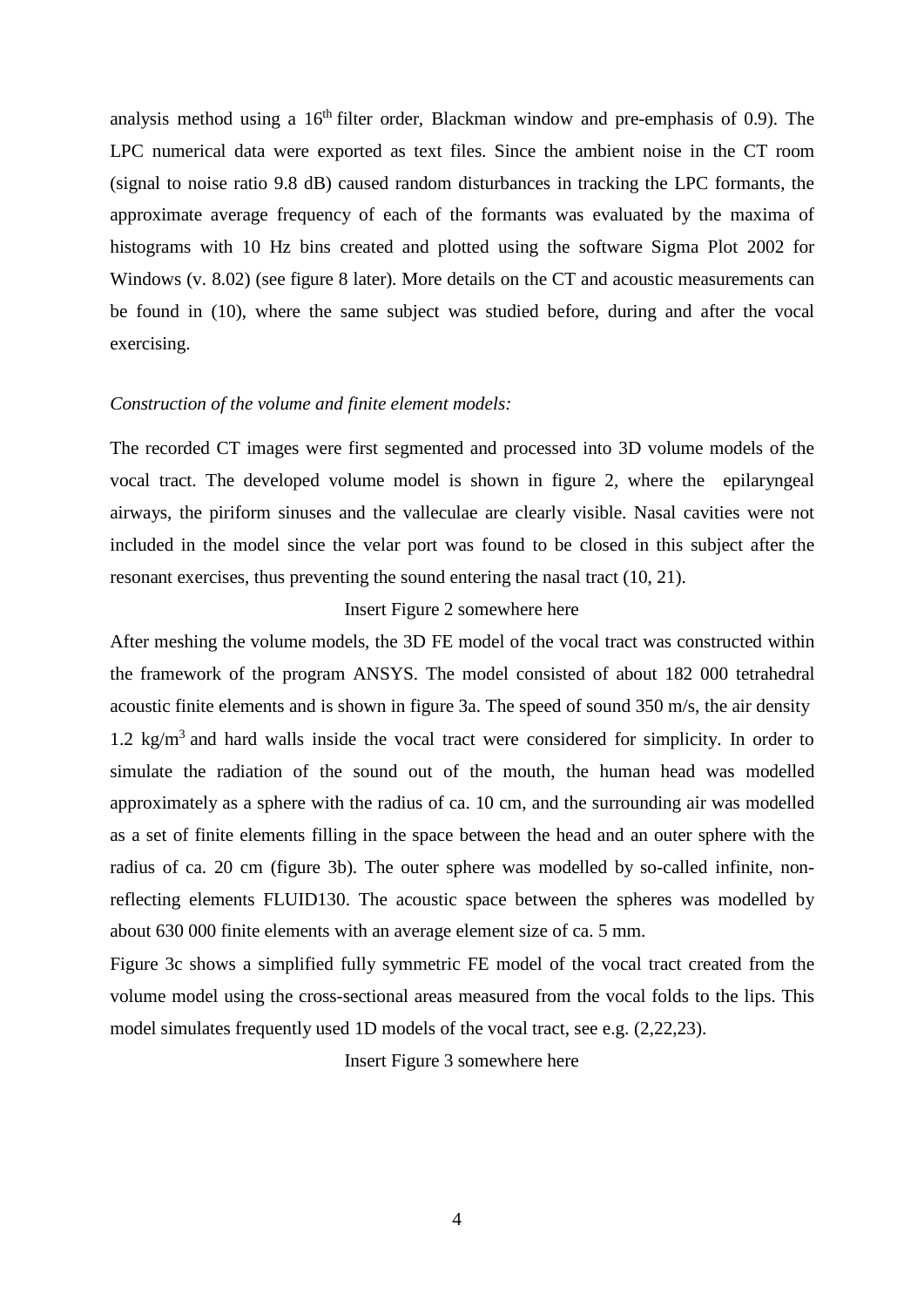analysis method using a  $16<sup>th</sup>$  filter order, Blackman window and pre-emphasis of 0.9). The LPC numerical data were exported as text files. Since the ambient noise in the CT room (signal to noise ratio 9.8 dB) caused random disturbances in tracking the LPC formants, the approximate average frequency of each of the formants was evaluated by the maxima of histograms with 10 Hz bins created and plotted using the software Sigma Plot 2002 for Windows (v. 8.02) (see figure 8 later). More details on the CT and acoustic measurements can be found in (10), where the same subject was studied before, during and after the vocal exercising.

#### *Construction of the volume and finite element models:*

The recorded CT images were first segmented and processed into 3D volume models of the vocal tract. The developed volume model is shown in figure 2, where the epilaryngeal airways, the piriform sinuses and the valleculae are clearly visible. Nasal cavities were not included in the model since the velar port was found to be closed in this subject after the resonant exercises, thus preventing the sound entering the nasal tract (10, 21).

#### Insert Figure 2 somewhere here

After meshing the volume models, the 3D FE model of the vocal tract was constructed within the framework of the program ANSYS. The model consisted of about 182 000 tetrahedral acoustic finite elements and is shown in figure 3a. The speed of sound 350 m/s, the air density 1.2 kg/m<sup>3</sup> and hard walls inside the vocal tract were considered for simplicity. In order to simulate the radiation of the sound out of the mouth, the human head was modelled approximately as a sphere with the radius of ca. 10 cm, and the surrounding air was modelled as a set of finite elements filling in the space between the head and an outer sphere with the radius of ca. 20 cm (figure 3b). The outer sphere was modelled by so-called infinite, nonreflecting elements FLUID130. The acoustic space between the spheres was modelled by about 630 000 finite elements with an average element size of ca. 5 mm.

Figure 3c shows a simplified fully symmetric FE model of the vocal tract created from the volume model using the cross-sectional areas measured from the vocal folds to the lips. This model simulates frequently used 1D models of the vocal tract, see e.g. (2,22,23).

Insert Figure 3 somewhere here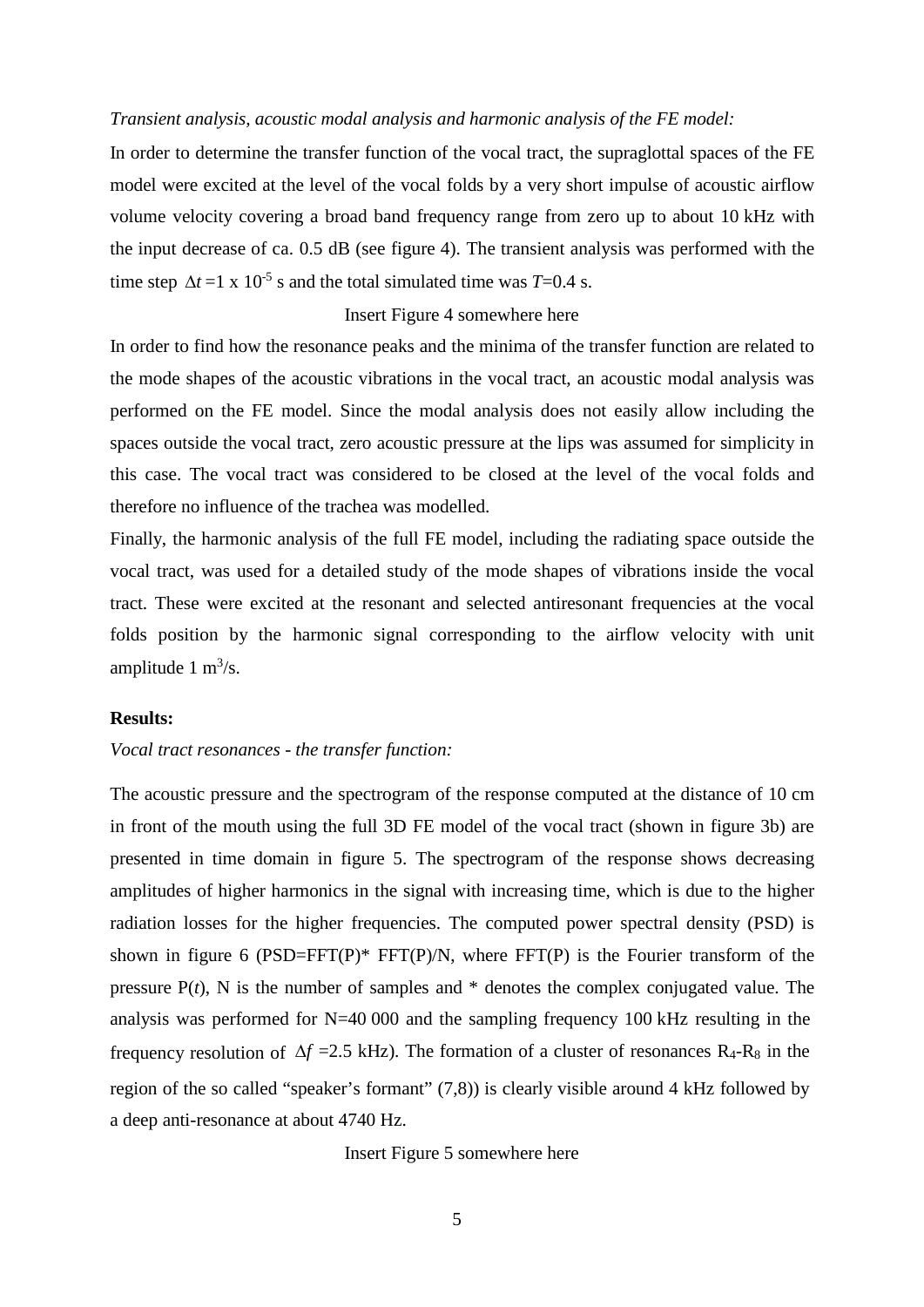#### *Transient analysis, acoustic modal analysis and harmonic analysis of the FE model:*

In order to determine the transfer function of the vocal tract, the supraglottal spaces of the FE model were excited at the level of the vocal folds by a very short impulse of acoustic airflow volume velocity covering a broad band frequency range from zero up to about 10 kHz with the input decrease of ca. 0.5 dB (see figure 4). The transient analysis was performed with the time step  $\Delta t = 1 \times 10^{-5}$  s and the total simulated time was *T*=0.4 s.

## Insert Figure 4 somewhere here

In order to find how the resonance peaks and the minima of the transfer function are related to the mode shapes of the acoustic vibrations in the vocal tract, an acoustic modal analysis was performed on the FE model. Since the modal analysis does not easily allow including the spaces outside the vocal tract, zero acoustic pressure at the lips was assumed for simplicity in this case. The vocal tract was considered to be closed at the level of the vocal folds and therefore no influence of the trachea was modelled.

Finally, the harmonic analysis of the full FE model, including the radiating space outside the vocal tract, was used for a detailed study of the mode shapes of vibrations inside the vocal tract. These were excited at the resonant and selected antiresonant frequencies at the vocal folds position by the harmonic signal corresponding to the airflow velocity with unit amplitude  $1 \text{ m}^3/\text{s}$ .

#### **Results:**

#### *Vocal tract resonances - the transfer function:*

The acoustic pressure and the spectrogram of the response computed at the distance of 10 cm in front of the mouth using the full 3D FE model of the vocal tract (shown in figure 3b) are presented in time domain in figure 5. The spectrogram of the response shows decreasing amplitudes of higher harmonics in the signal with increasing time, which is due to the higher radiation losses for the higher frequencies. The computed power spectral density (PSD) is shown in figure 6 (PSD=FFT(P)\* FFT(P)/N, where FFT(P) is the Fourier transform of the pressure  $P(t)$ , N is the number of samples and  $*$  denotes the complex conjugated value. The analysis was performed for N=40 000 and the sampling frequency 100 kHz resulting in the frequency resolution of  $\Delta f = 2.5$  kHz). The formation of a cluster of resonances R<sub>4</sub>-R<sub>8</sub> in the region of the so called "speaker's formant" (7,8)) is clearly visible around 4 kHz followed by a deep anti-resonance at about 4740 Hz.

Insert Figure 5 somewhere here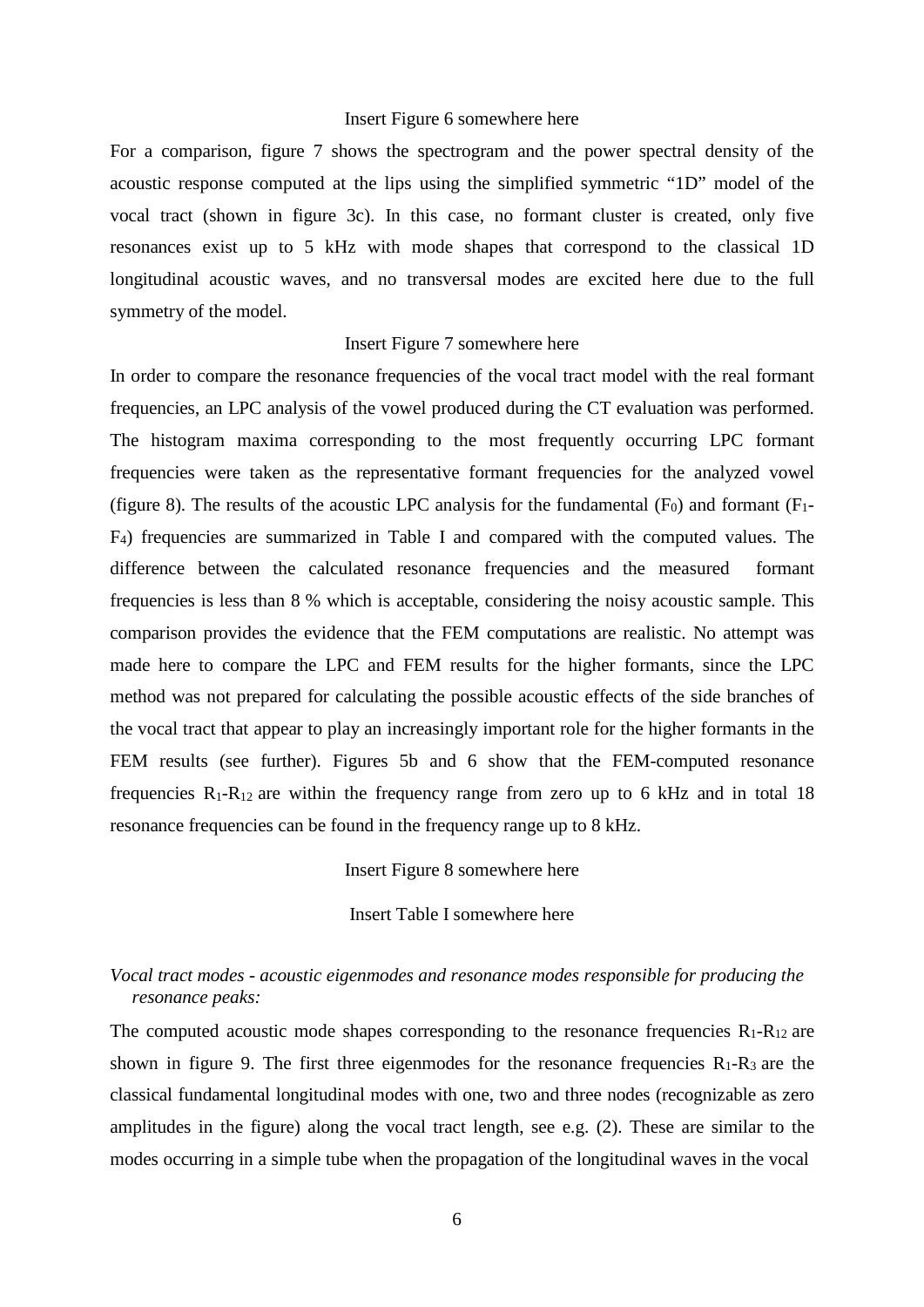#### Insert Figure 6 somewhere here

For a comparison, figure 7 shows the spectrogram and the power spectral density of the acoustic response computed at the lips using the simplified symmetric "1D" model of the vocal tract (shown in figure 3c). In this case, no formant cluster is created, only five resonances exist up to 5 kHz with mode shapes that correspond to the classical 1D longitudinal acoustic waves, and no transversal modes are excited here due to the full symmetry of the model.

#### Insert Figure 7 somewhere here

In order to compare the resonance frequencies of the vocal tract model with the real formant frequencies, an LPC analysis of the vowel produced during the CT evaluation was performed. The histogram maxima corresponding to the most frequently occurring LPC formant frequencies were taken as the representative formant frequencies for the analyzed vowel (figure 8). The results of the acoustic LPC analysis for the fundamental  $(F_0)$  and formant  $(F_1 -$ F4) frequencies are summarized in Table I and compared with the computed values. The difference between the calculated resonance frequencies and the measured formant frequencies is less than 8 % which is acceptable, considering the noisy acoustic sample. This comparison provides the evidence that the FEM computations are realistic. No attempt was made here to compare the LPC and FEM results for the higher formants, since the LPC method was not prepared for calculating the possible acoustic effects of the side branches of the vocal tract that appear to play an increasingly important role for the higher formants in the FEM results (see further). Figures 5b and 6 show that the FEM-computed resonance frequencies  $R_1-R_{12}$  are within the frequency range from zero up to 6 kHz and in total 18 resonance frequencies can be found in the frequency range up to 8 kHz.

Insert Figure 8 somewhere here

Insert Table I somewhere here

# *Vocal tract modes - acoustic eigenmodes and resonance modes responsible for producing the resonance peaks:*

The computed acoustic mode shapes corresponding to the resonance frequencies  $R_1-R_{12}$  are shown in figure 9. The first three eigenmodes for the resonance frequencies  $R_1-R_3$  are the classical fundamental longitudinal modes with one, two and three nodes (recognizable as zero amplitudes in the figure) along the vocal tract length, see e.g. (2). These are similar to the modes occurring in a simple tube when the propagation of the longitudinal waves in the vocal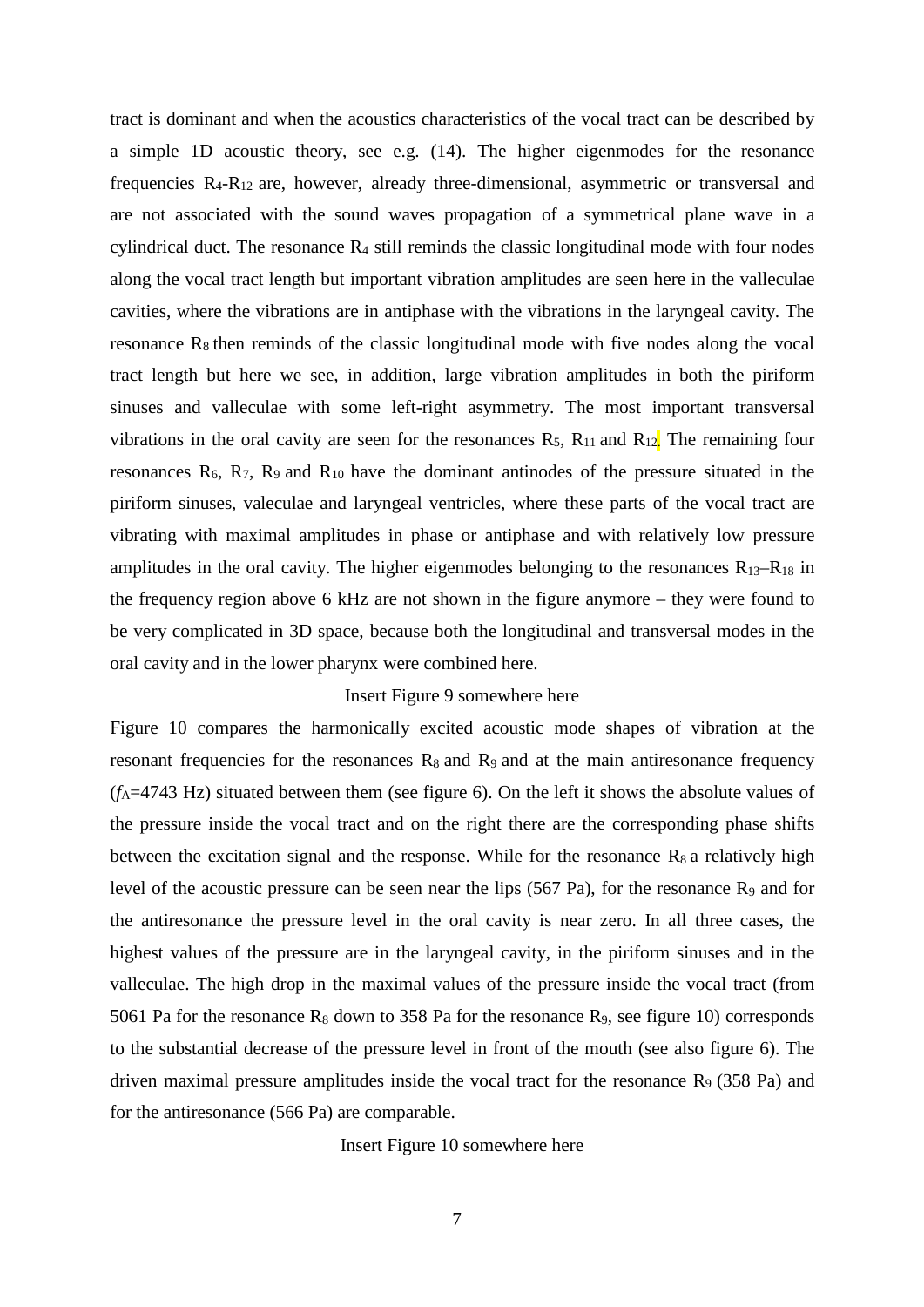tract is dominant and when the acoustics characteristics of the vocal tract can be described by a simple 1D acoustic theory, see e.g. (14). The higher eigenmodes for the resonance frequencies  $R_4-R_{12}$  are, however, already three-dimensional, asymmetric or transversal and are not associated with the sound waves propagation of a symmetrical plane wave in a cylindrical duct. The resonance  $R_4$  still reminds the classic longitudinal mode with four nodes along the vocal tract length but important vibration amplitudes are seen here in the valleculae cavities, where the vibrations are in antiphase with the vibrations in the laryngeal cavity. The resonance  $R_8$  then reminds of the classic longitudinal mode with five nodes along the vocal tract length but here we see, in addition, large vibration amplitudes in both the piriform sinuses and valleculae with some left-right asymmetry. The most important transversal vibrations in the oral cavity are seen for the resonances  $R_5$ ,  $R_{11}$  and  $R_{12}$ . The remaining four resonances  $R_6$ ,  $R_7$ ,  $R_9$  and  $R_{10}$  have the dominant antinodes of the pressure situated in the piriform sinuses, valeculae and laryngeal ventricles, where these parts of the vocal tract are vibrating with maximal amplitudes in phase or antiphase and with relatively low pressure amplitudes in the oral cavity. The higher eigenmodes belonging to the resonances  $R_{13}-R_{18}$  in the frequency region above 6 kHz are not shown in the figure anymore – they were found to be very complicated in 3D space, because both the longitudinal and transversal modes in the oral cavity and in the lower pharynx were combined here.

#### Insert Figure 9 somewhere here

Figure 10 compares the harmonically excited acoustic mode shapes of vibration at the resonant frequencies for the resonances  $R_8$  and  $R_9$  and at the main antiresonance frequency  $(f_A=4743 \text{ Hz})$  situated between them (see figure 6). On the left it shows the absolute values of the pressure inside the vocal tract and on the right there are the corresponding phase shifts between the excitation signal and the response. While for the resonance  $R_8$  a relatively high level of the acoustic pressure can be seen near the lips  $(567 \text{ Pa})$ , for the resonance R<sub>9</sub> and for the antiresonance the pressure level in the oral cavity is near zero. In all three cases, the highest values of the pressure are in the laryngeal cavity, in the piriform sinuses and in the valleculae. The high drop in the maximal values of the pressure inside the vocal tract (from 5061 Pa for the resonance  $R_8$  down to 358 Pa for the resonance  $R_9$ , see figure 10) corresponds to the substantial decrease of the pressure level in front of the mouth (see also figure 6). The driven maximal pressure amplitudes inside the vocal tract for the resonance  $R_9$  (358 Pa) and for the antiresonance (566 Pa) are comparable.

Insert Figure 10 somewhere here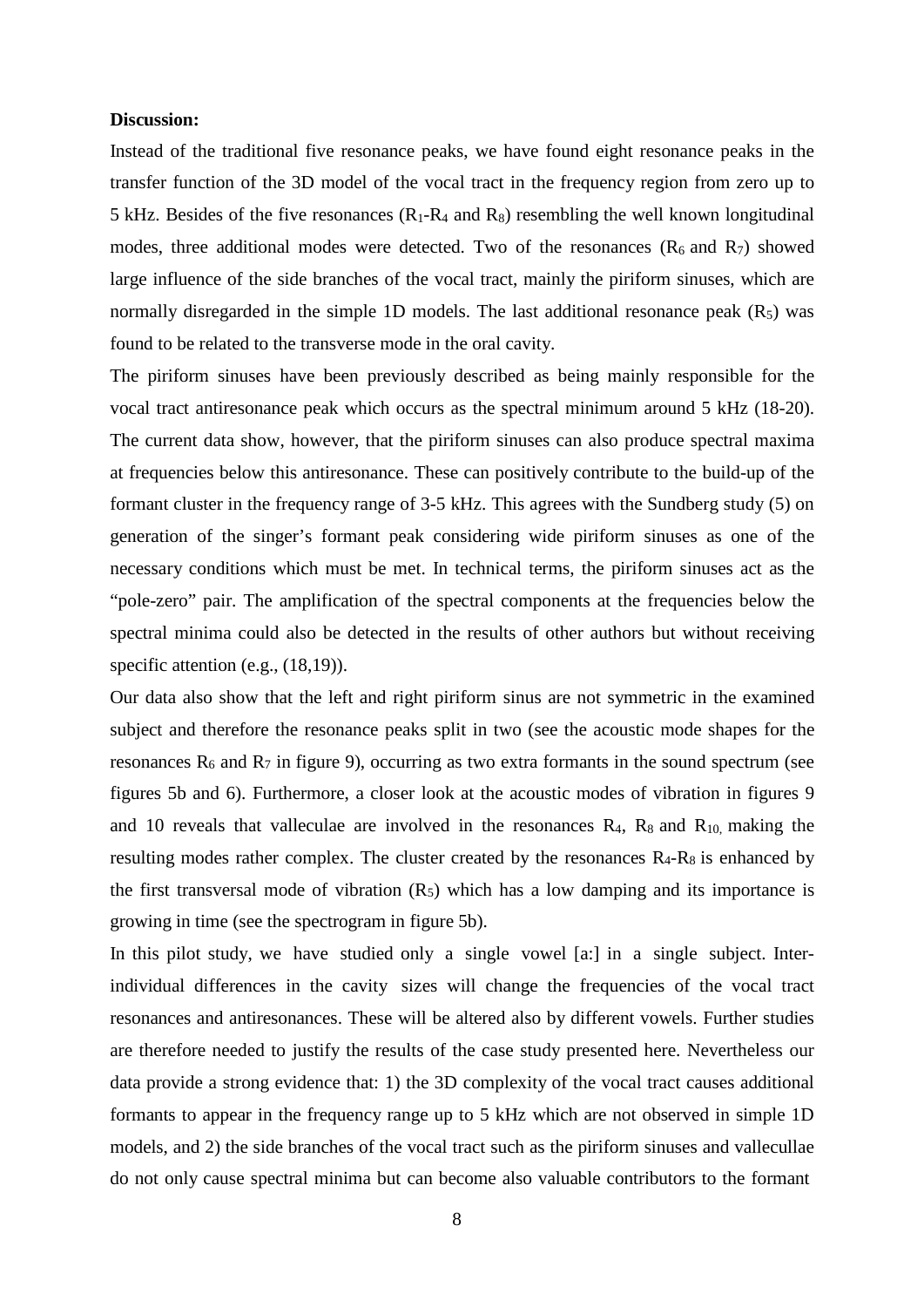#### **Discussion:**

Instead of the traditional five resonance peaks, we have found eight resonance peaks in the transfer function of the 3D model of the vocal tract in the frequency region from zero up to 5 kHz. Besides of the five resonances  $(R_1-R_4 \text{ and } R_8)$  resembling the well known longitudinal modes, three additional modes were detected. Two of the resonances  $(R_6 \text{ and } R_7)$  showed large influence of the side branches of the vocal tract, mainly the piriform sinuses, which are normally disregarded in the simple 1D models. The last additional resonance peak  $(R<sub>5</sub>)$  was found to be related to the transverse mode in the oral cavity.

The piriform sinuses have been previously described as being mainly responsible for the vocal tract antiresonance peak which occurs as the spectral minimum around 5 kHz (18-20). The current data show, however, that the piriform sinuses can also produce spectral maxima at frequencies below this antiresonance. These can positively contribute to the build-up of the formant cluster in the frequency range of 3-5 kHz. This agrees with the Sundberg study (5) on generation of the singer's formant peak considering wide piriform sinuses as one of the necessary conditions which must be met. In technical terms, the piriform sinuses act as the "pole-zero" pair. The amplification of the spectral components at the frequencies below the spectral minima could also be detected in the results of other authors but without receiving specific attention (e.g.,  $(18,19)$ ).

Our data also show that the left and right piriform sinus are not symmetric in the examined subject and therefore the resonance peaks split in two (see the acoustic mode shapes for the resonances  $R_6$  and  $R_7$  in figure 9), occurring as two extra formants in the sound spectrum (see figures 5b and 6). Furthermore, a closer look at the acoustic modes of vibration in figures 9 and 10 reveals that valleculae are involved in the resonances  $R_4$ ,  $R_8$  and  $R_{10}$ , making the resulting modes rather complex. The cluster created by the resonances  $R_4-R_8$  is enhanced by the first transversal mode of vibration  $(R_5)$  which has a low damping and its importance is growing in time (see the spectrogram in figure 5b).

In this pilot study, we have studied only a single vowel [a:] in a single subject. Interindividual differences in the cavity sizes will change the frequencies of the vocal tract resonances and antiresonances. These will be altered also by different vowels. Further studies are therefore needed to justify the results of the case study presented here. Nevertheless our data provide a strong evidence that: 1) the 3D complexity of the vocal tract causes additional formants to appear in the frequency range up to 5 kHz which are not observed in simple 1D models, and 2) the side branches of the vocal tract such as the piriform sinuses and vallecullae do not only cause spectral minima but can become also valuable contributors to the formant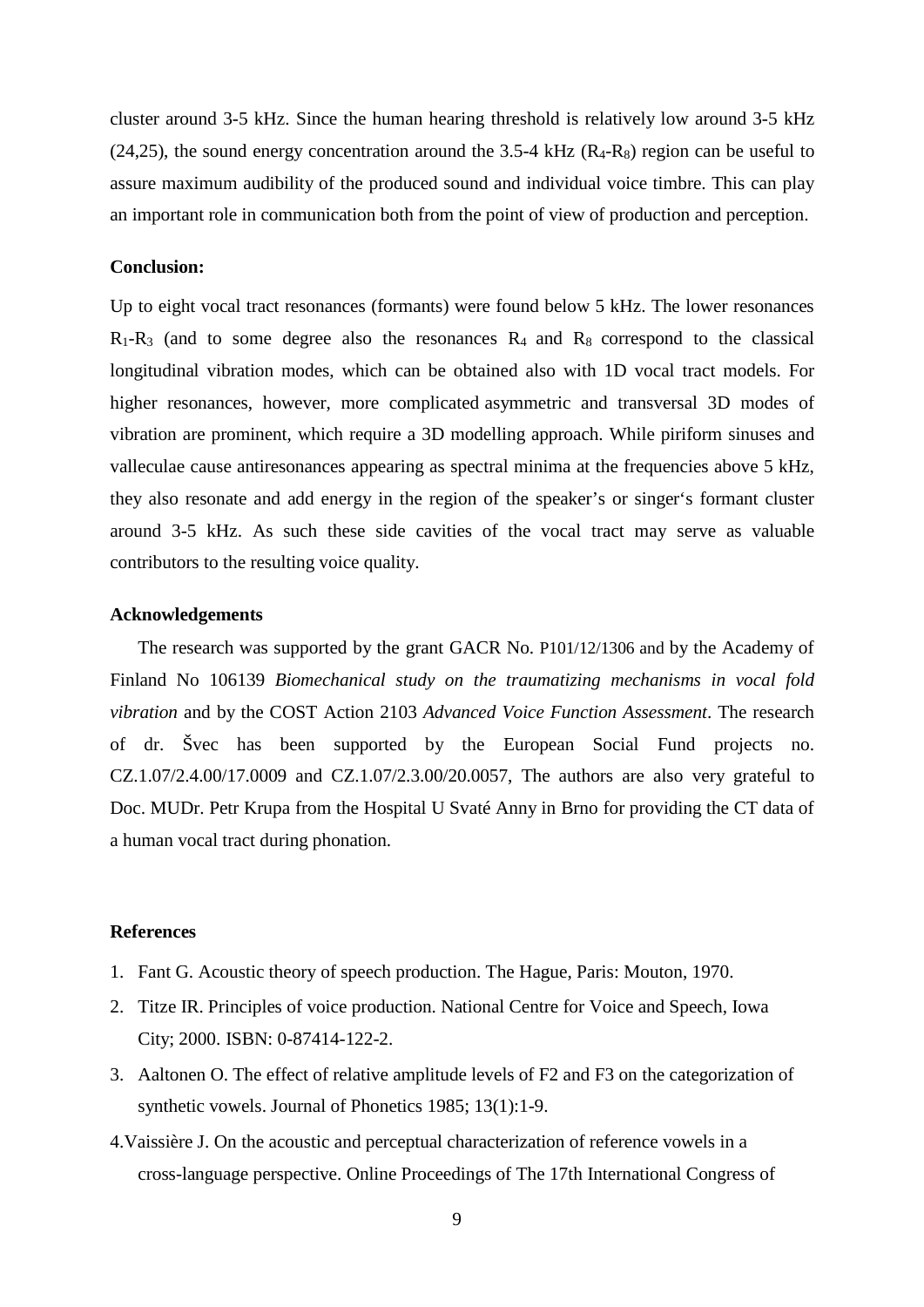cluster around 3-5 kHz. Since the human hearing threshold is relatively low around 3-5 kHz  $(24,25)$ , the sound energy concentration around the 3.5-4 kHz  $(R_4-R_8)$  region can be useful to assure maximum audibility of the produced sound and individual voice timbre. This can play an important role in communication both from the point of view of production and perception.

#### **Conclusion:**

Up to eight vocal tract resonances (formants) were found below 5 kHz. The lower resonances  $R_1-R_3$  (and to some degree also the resonances  $R_4$  and  $R_8$  correspond to the classical longitudinal vibration modes, which can be obtained also with 1D vocal tract models. For higher resonances, however, more complicated asymmetric and transversal 3D modes of vibration are prominent, which require a 3D modelling approach. While piriform sinuses and valleculae cause antiresonances appearing as spectral minima at the frequencies above 5 kHz, they also resonate and add energy in the region of the speaker's or singer's formant cluster around 3-5 kHz. As such these side cavities of the vocal tract may serve as valuable contributors to the resulting voice quality.

#### **Acknowledgements**

The research was supported by the grant GACR No. P101/12/1306 and by the Academy of Finland No 106139 *Biomechanical study on the traumatizing mechanisms in vocal fold vibration* and by the COST Action 2103 *Advanced Voice Function Assessment*. The research of dr. Švec has been supported by the European Social Fund projects no. CZ.1.07/2.4.00/17.0009 and CZ.1.07/2.3.00/20.0057, The authors are also very grateful to Doc. MUDr. Petr Krupa from the Hospital U Svaté Anny in Brno for providing the CT data of a human vocal tract during phonation.

#### **References**

- 1. Fant G. Acoustic theory of speech production. The Hague, Paris: Mouton, 1970.
- 2. Titze IR. Principles of voice production. National Centre for Voice and Speech, Iowa City; 2000. ISBN: 0-87414-122-2.
- 3. Aaltonen O. The effect of relative [amplitude levels](http://tuhat.halvi.helsinki.fi/portal/fi/publications/the-effect-of-relat%28617a470b-aebd-43de-94d0-dfcb5bd7fb05%29.html) of F2 and F3 on the categorization of [synthetic vowels.](http://tuhat.halvi.helsinki.fi/portal/fi/publications/the-effect-of-relat%28617a470b-aebd-43de-94d0-dfcb5bd7fb05%29.html) Journal of Phonetics 1985; 13(1):1-9.
- 4.Vaissière J. On the acoustic and perceptual characterization of reference vowels in a cross-language perspective. Online Proceedings of The 17th International Congress of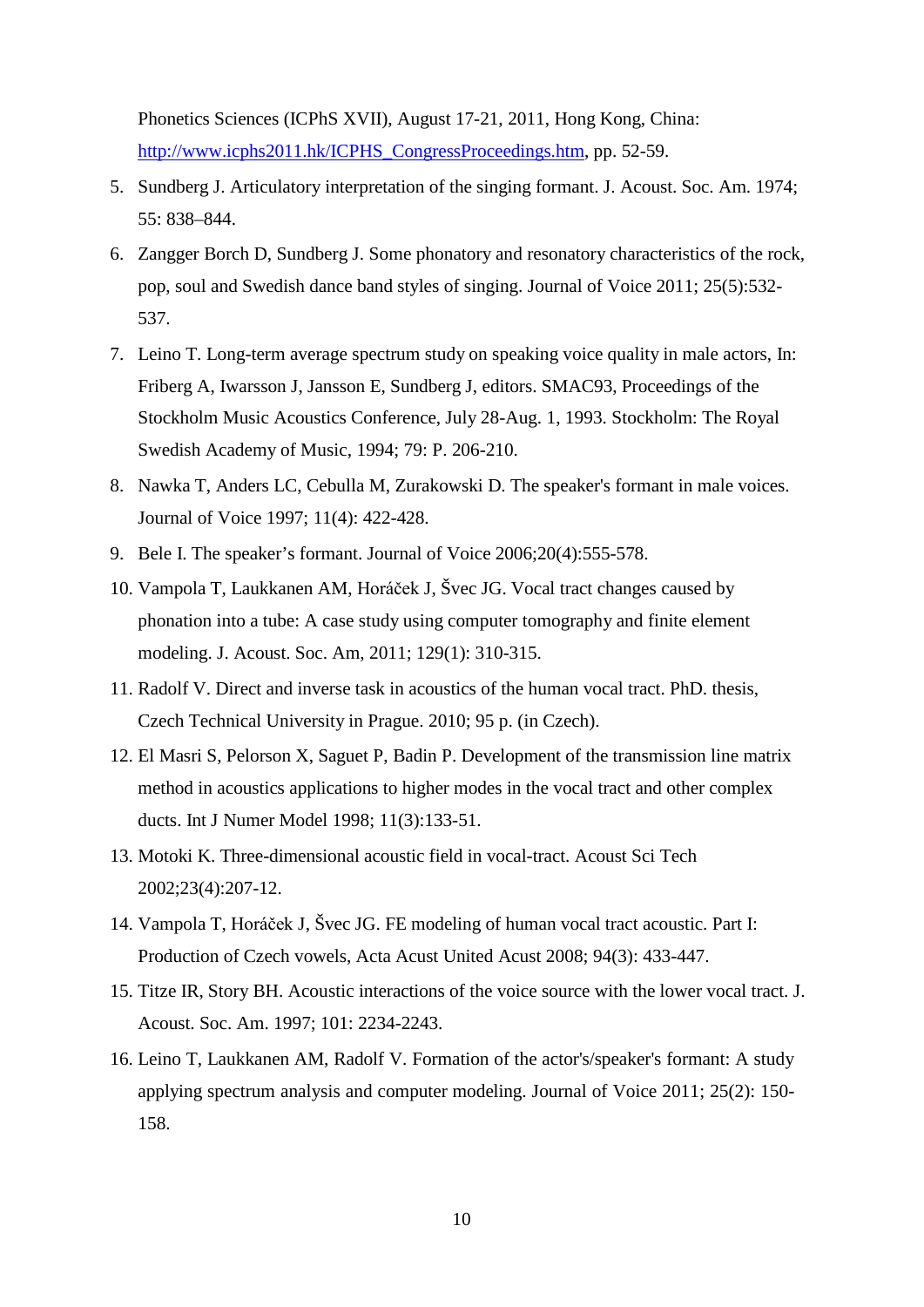Phonetics Sciences (ICPhS XVII), August 17-21, 2011, Hong Kong, China: [http://www.icphs2011.hk/ICPHS\\_CongressProceedings.htm,](http://www.icphs2011.hk/ICPHS_CongressProceedings.htm) pp. 52-59.

- 5. Sundberg J. Articulatory interpretation of the singing formant. J. Acoust. Soc. Am. 1974; 55: 838–844.
- 6. Zangger Borch D, Sundberg J. Some phonatory and resonatory characteristics of the rock, pop, soul and Swedish dance band styles of singing. Journal of Voice 2011; 25(5):532- 537.
- 7. Leino T. Long-term average spectrum study on speaking voice quality in male actors, In: Friberg A, Iwarsson J, Jansson E, Sundberg J, editors. SMAC93, Proceedings of the Stockholm Music Acoustics Conference, July 28-Aug. 1, 1993. Stockholm: The Royal Swedish Academy of Music, 1994; 79: P. 206-210.
- 8. Nawka T, Anders LC, Cebulla M, Zurakowski D. The speaker's formant in male voices. Journal of Voice 1997; 11(4): 422-428.
- 9. Bele I. The speaker's formant. Journal of Voice 2006;20(4):555-578.
- 10. Vampola T, Laukkanen AM, Horáček J, Švec JG. Vocal tract changes caused by phonation into a tube: A case study using computer tomography and finite element modeling. J. Acoust. Soc. Am, 2011; 129(1): 310-315.
- 11. Radolf V. Direct and inverse task in acoustics of the human vocal tract. PhD. thesis, Czech Technical University in Prague. 2010; 95 p. (in Czech).
- 12. El Masri S, Pelorson X, Saguet P, Badin P. Development of the transmission line matrix method in acoustics applications to higher modes in the vocal tract and other complex ducts. Int J Numer Model 1998; 11(3):133-51.
- 13. Motoki K. Three-dimensional acoustic field in vocal-tract. Acoust Sci Tech 2002;23(4):207-12.
- 14. Vampola T, Horáček J, Švec JG. FE modeling of human vocal tract acoustic. Part I: Production of Czech vowels, Acta Acust United Acust 2008; 94(3): 433-447.
- 15. Titze IR, Story BH. Acoustic interactions of the voice source with the lower vocal tract. J. Acoust. Soc. Am. 1997; 101: 2234-2243.
- 16. Leino T, Laukkanen AM, Radolf V. Formation of the actor's/speaker's formant: A study applying spectrum analysis and computer modeling. Journal of Voice 2011; 25(2): 150- 158.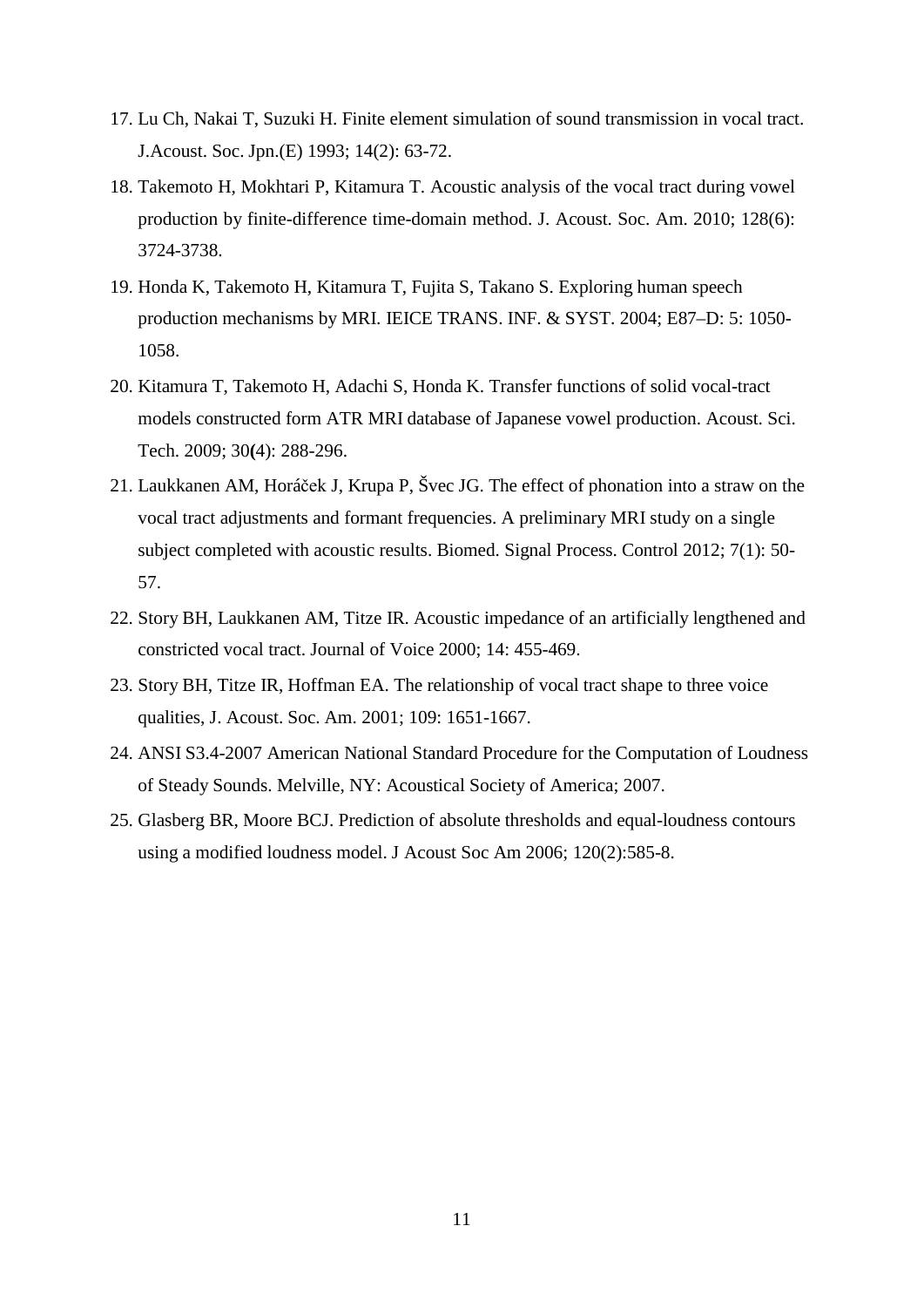- 17. Lu Ch, Nakai T, Suzuki H. Finite element simulation of sound transmission in vocal tract. J.Acoust. Soc. Jpn.(E) 1993; 14(2): 63-72.
- 18. Takemoto H, Mokhtari P, Kitamura T. Acoustic analysis of the vocal tract during vowel production by finite-difference time-domain method. J. Acoust. Soc. Am. 2010; 128(6): 3724-3738.
- 19. Honda K, Takemoto H, Kitamura T, Fujita S, Takano S. Exploring human speech production mechanisms by MRI. IEICE TRANS. INF. & SYST. 2004; E87–D: 5: 1050- 1058.
- 20. Kitamura T, Takemoto H, Adachi S, Honda K. Transfer functions of solid vocal-tract models constructed form ATR MRI database of Japanese vowel production. Acoust. Sci. Tech. 2009; 30**(**4): 288-296.
- 21. Laukkanen AM, Horáček J, Krupa P, Švec JG. The effect of phonation into a straw on the vocal tract adjustments and formant frequencies. A preliminary MRI study on a single subject completed with acoustic results. Biomed. Signal Process. Control 2012; 7(1): 50- 57.
- 22. Story BH, Laukkanen AM, Titze IR. Acoustic impedance of an artificially lengthened and constricted vocal tract. Journal of Voice 2000; 14: 455-469.
- 23. Story BH, Titze IR, Hoffman EA. The relationship of vocal tract shape to three voice qualities, J. Acoust. Soc. Am. 2001; 109: 1651-1667.
- 24. ANSI S3.4-2007 American National Standard Procedure for the Computation of Loudness of Steady Sounds. Melville, NY: Acoustical Society of America; 2007.
- 25. Glasberg BR, Moore BCJ. Prediction of absolute thresholds and equal-loudness contours using a modified loudness model. J Acoust Soc Am 2006; 120(2):585-8.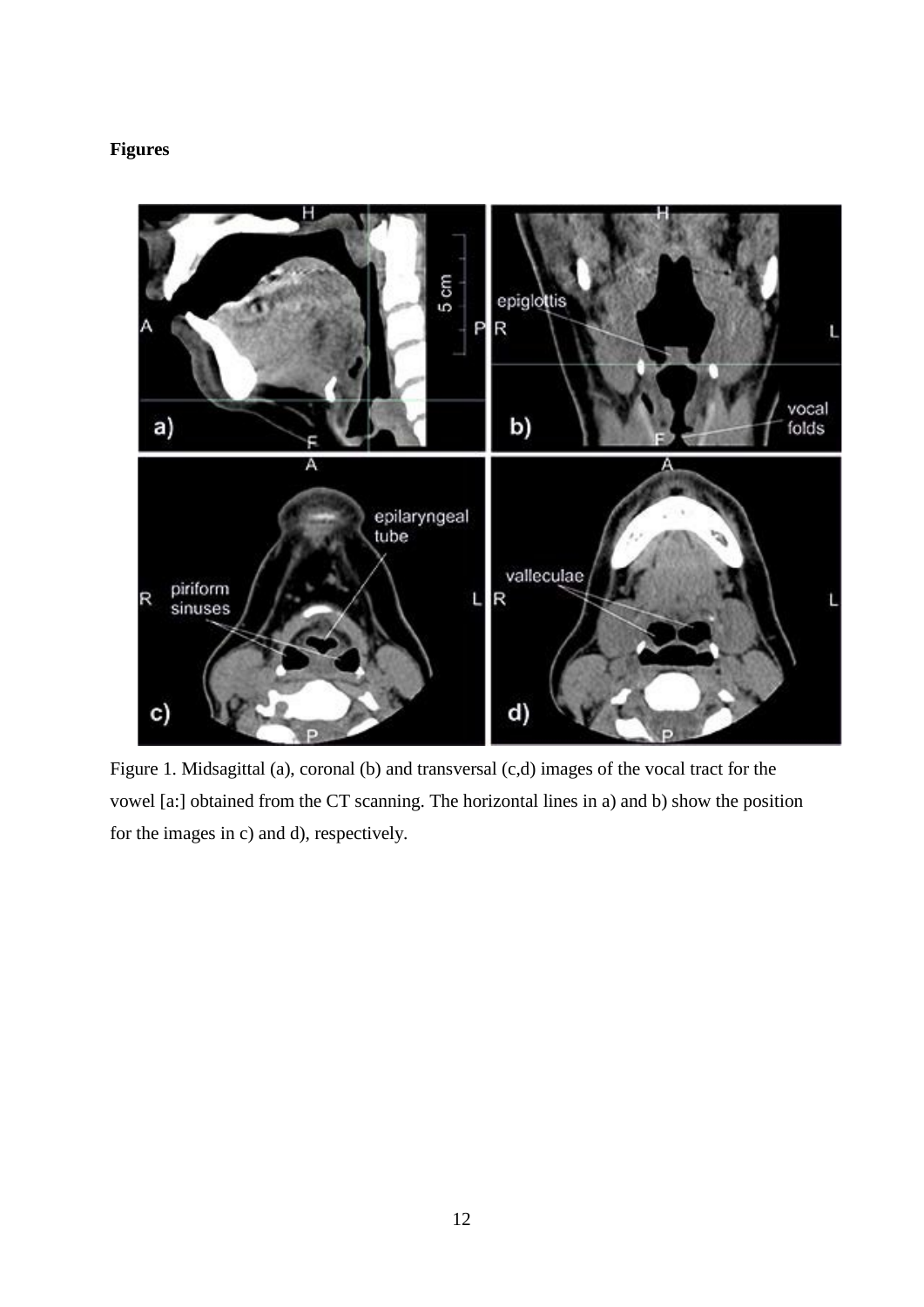# **Figures**



Figure 1. Midsagittal (a), coronal (b) and transversal (c,d) images of the vocal tract for the vowel [a:] obtained from the CT scanning. The horizontal lines in a) and b) show the position for the images in c) and d), respectively.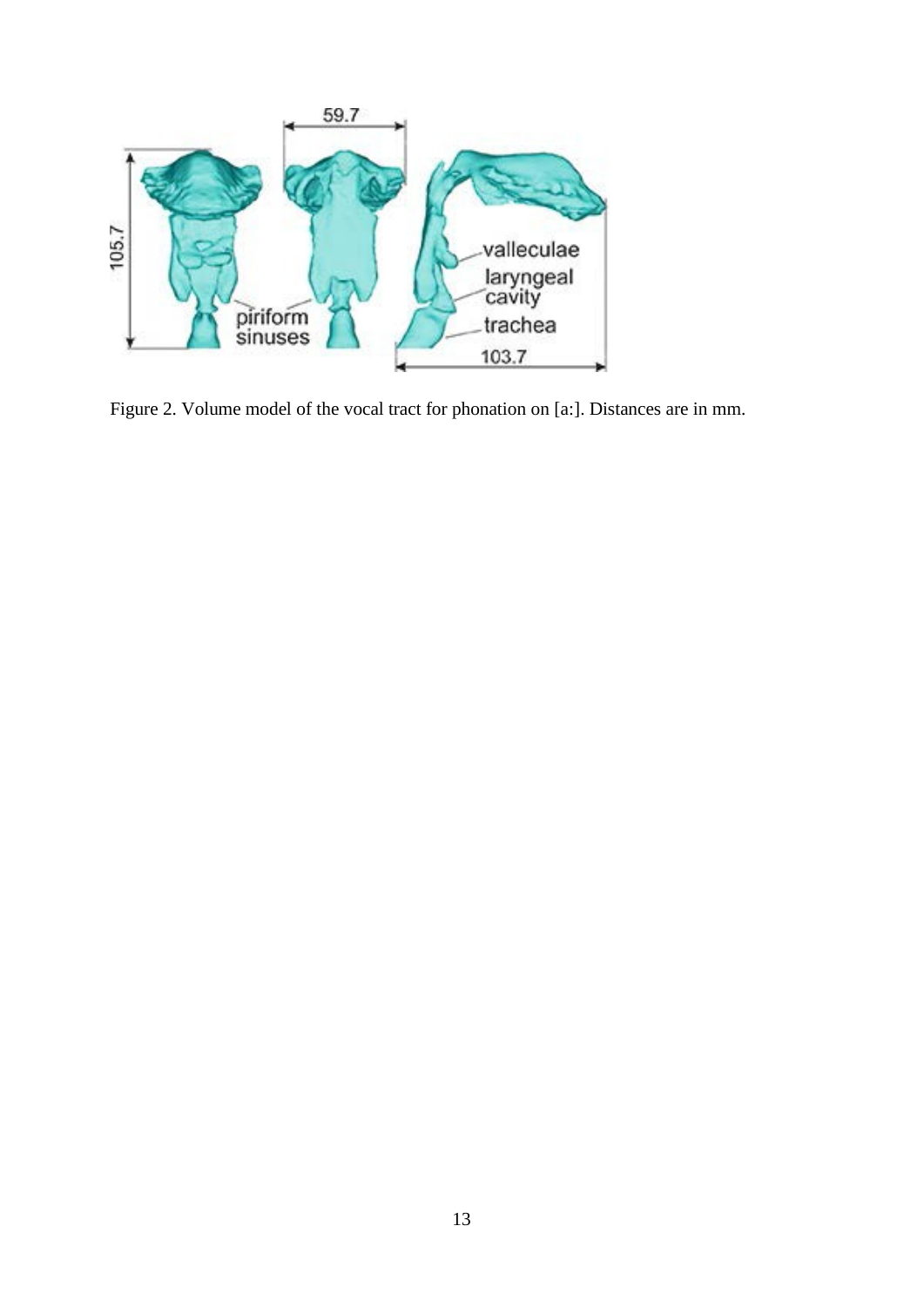

Figure 2. Volume model of the vocal tract for phonation on [a:]. Distances are in mm.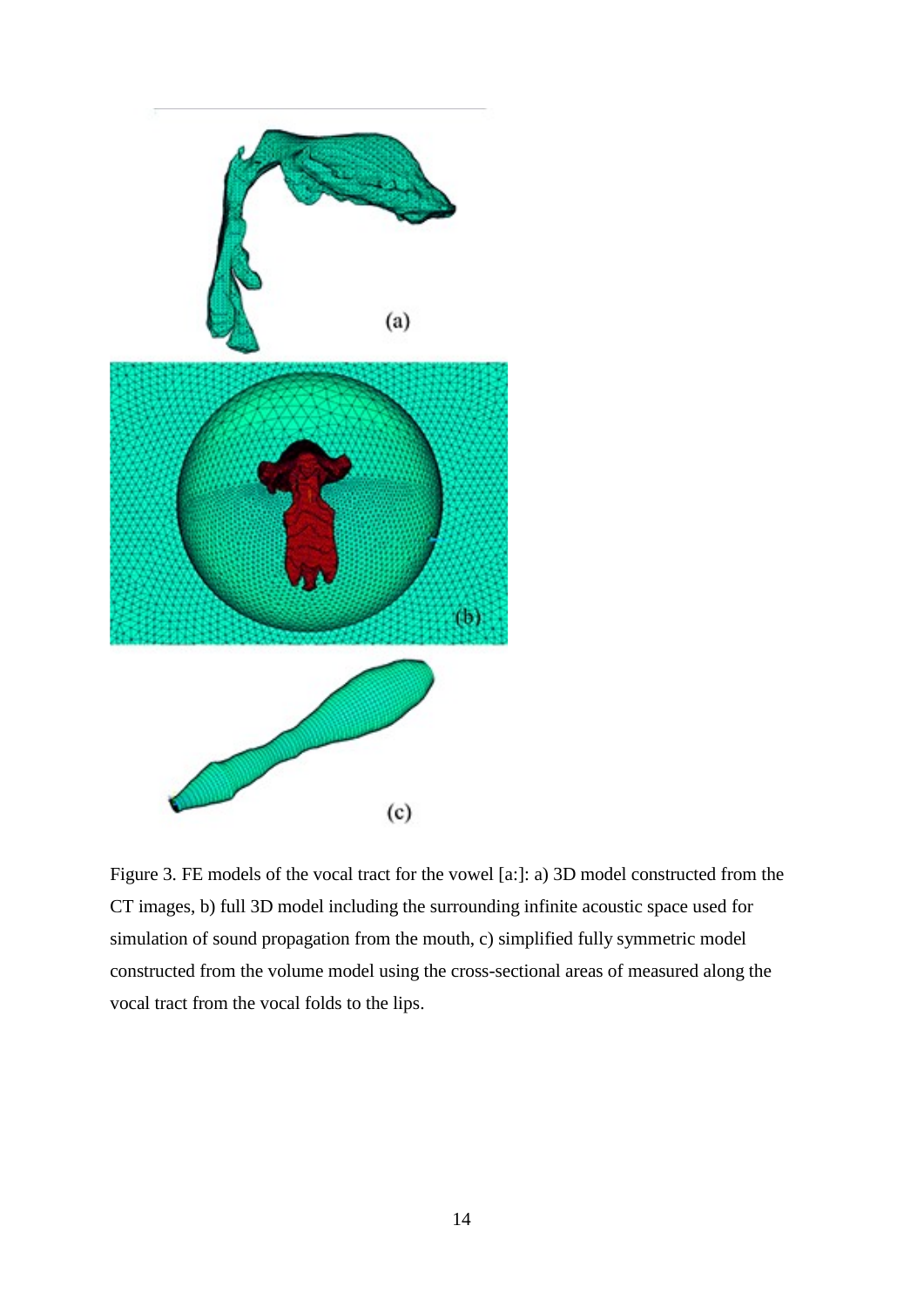

Figure 3. FE models of the vocal tract for the vowel [a:]: a) 3D model constructed from the CT images, b) full 3D model including the surrounding infinite acoustic space used for simulation of sound propagation from the mouth, c) simplified fully symmetric model constructed from the volume model using the cross-sectional areas of measured along the vocal tract from the vocal folds to the lips.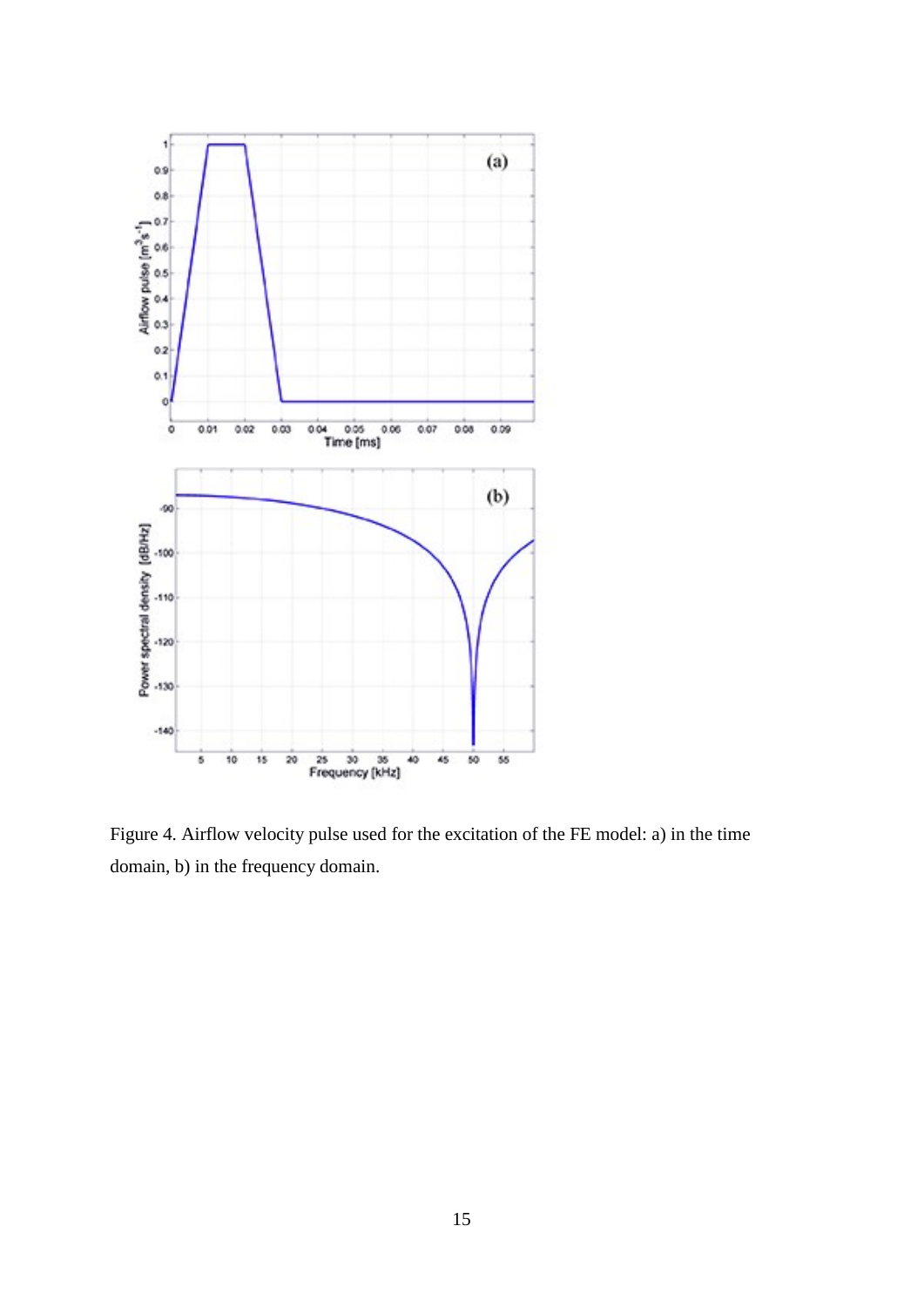

Figure 4. Airflow velocity pulse used for the excitation of the FE model: a) in the time domain, b) in the frequency domain.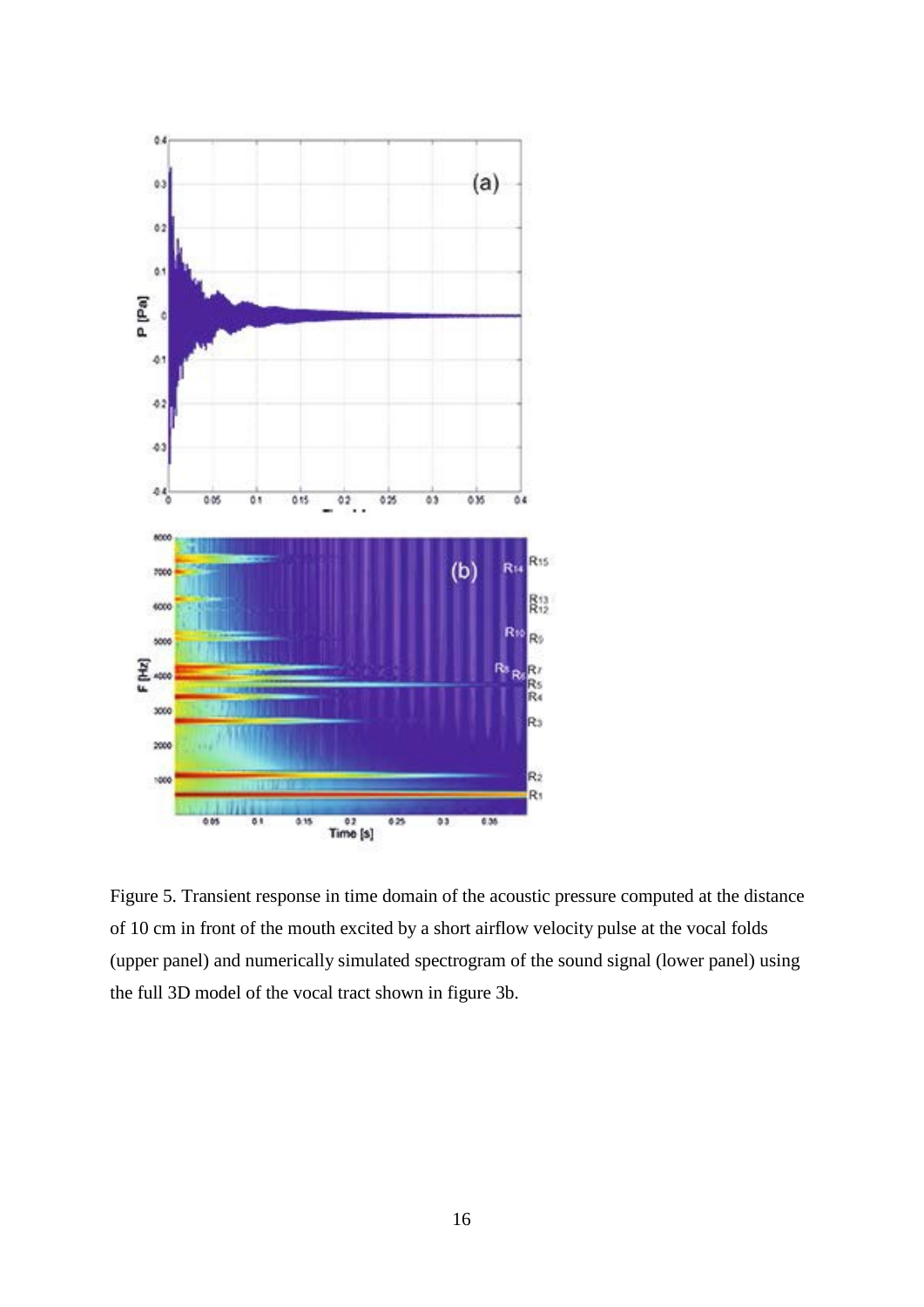

Figure 5. Transient response in time domain of the acoustic pressure computed at the distance of 10 cm in front of the mouth excited by a short airflow velocity pulse at the vocal folds (upper panel) and numerically simulated spectrogram of the sound signal (lower panel) using the full 3D model of the vocal tract shown in figure 3b.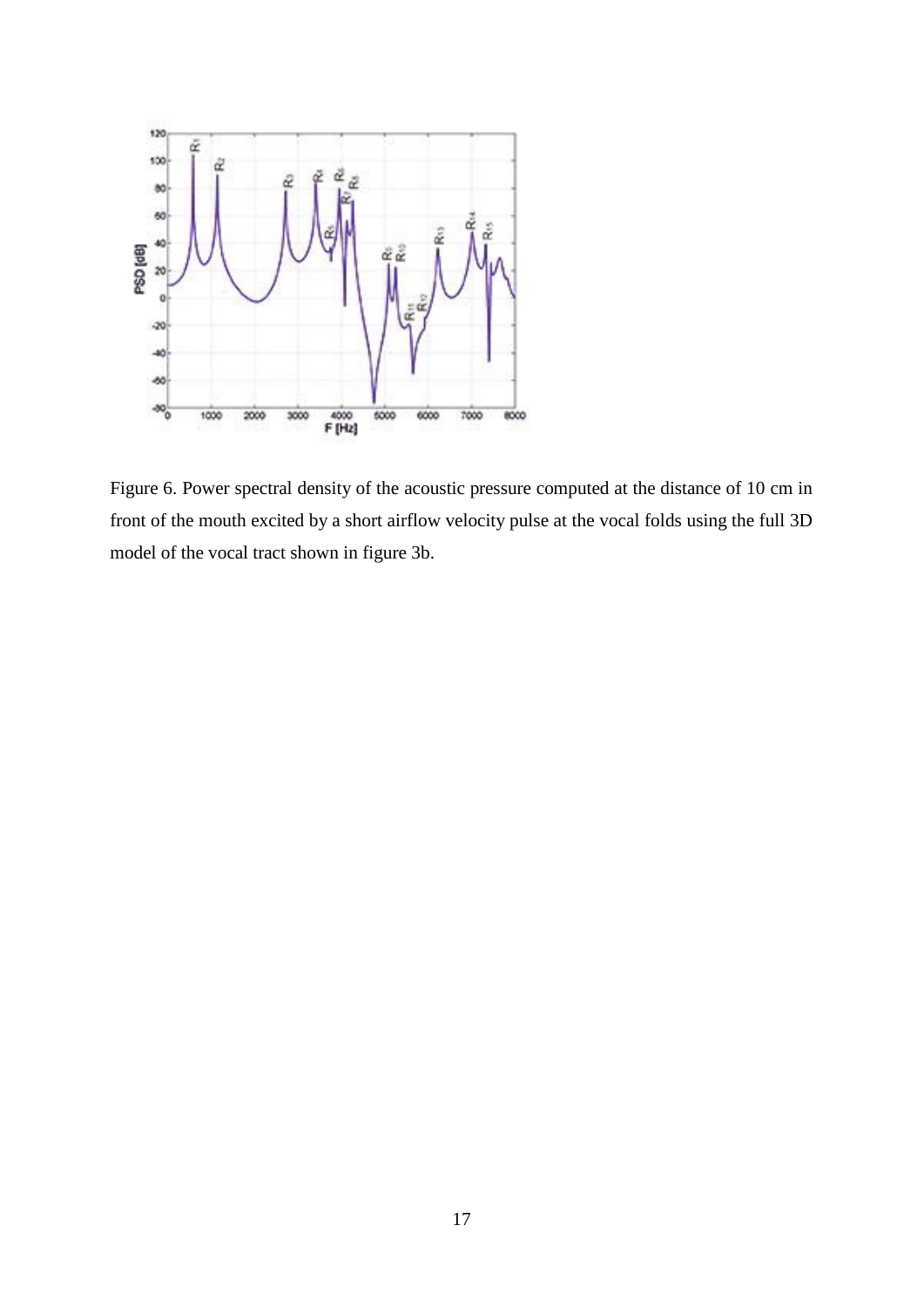

Figure 6. Power spectral density of the acoustic pressure computed at the distance of 10 cm in front of the mouth excited by a short airflow velocity pulse at the vocal folds using the full 3D model of the vocal tract shown in figure 3b.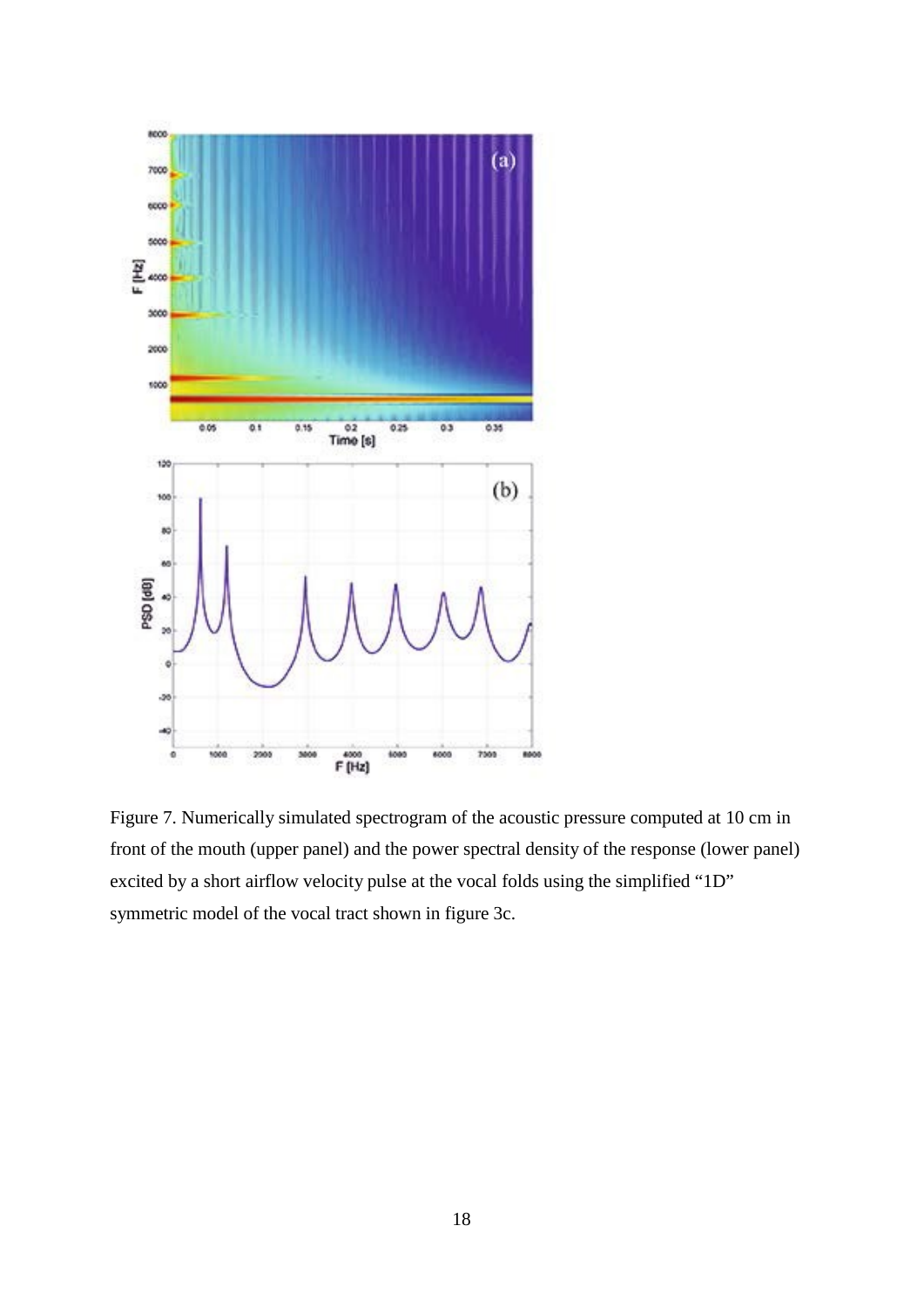

Figure 7. Numerically simulated spectrogram of the acoustic pressure computed at 10 cm in front of the mouth (upper panel) and the power spectral density of the response (lower panel) excited by a short airflow velocity pulse at the vocal folds using the simplified "1D" symmetric model of the vocal tract shown in figure 3c.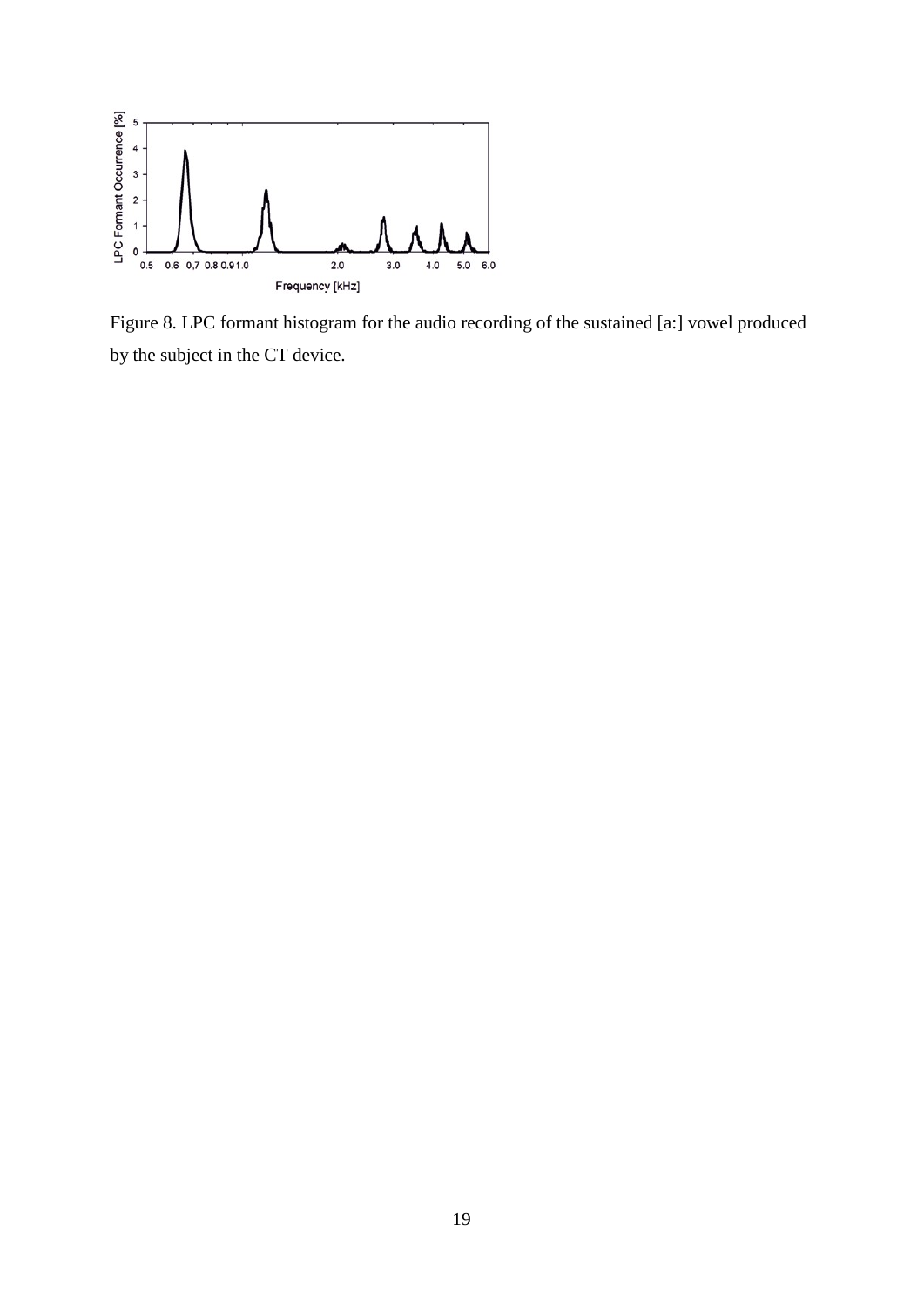

Figure 8. LPC formant histogram for the audio recording of the sustained [a:] vowel produced by the subject in the CT device.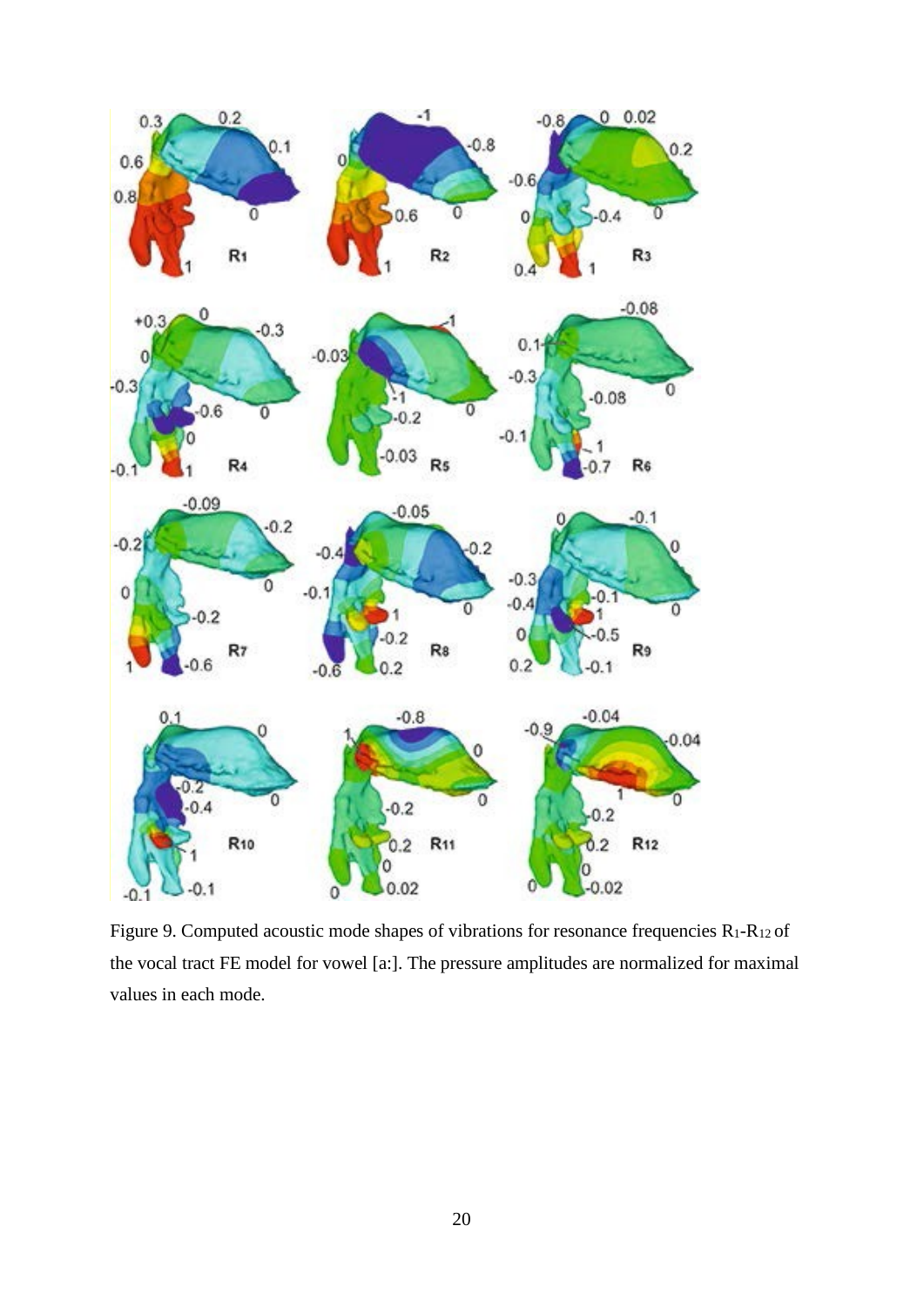

Figure 9. Computed acoustic mode shapes of vibrations for resonance frequencies  $R_1-R_{12}$  of the vocal tract FE model for vowel [a:]. The pressure amplitudes are normalized for maximal values in each mode.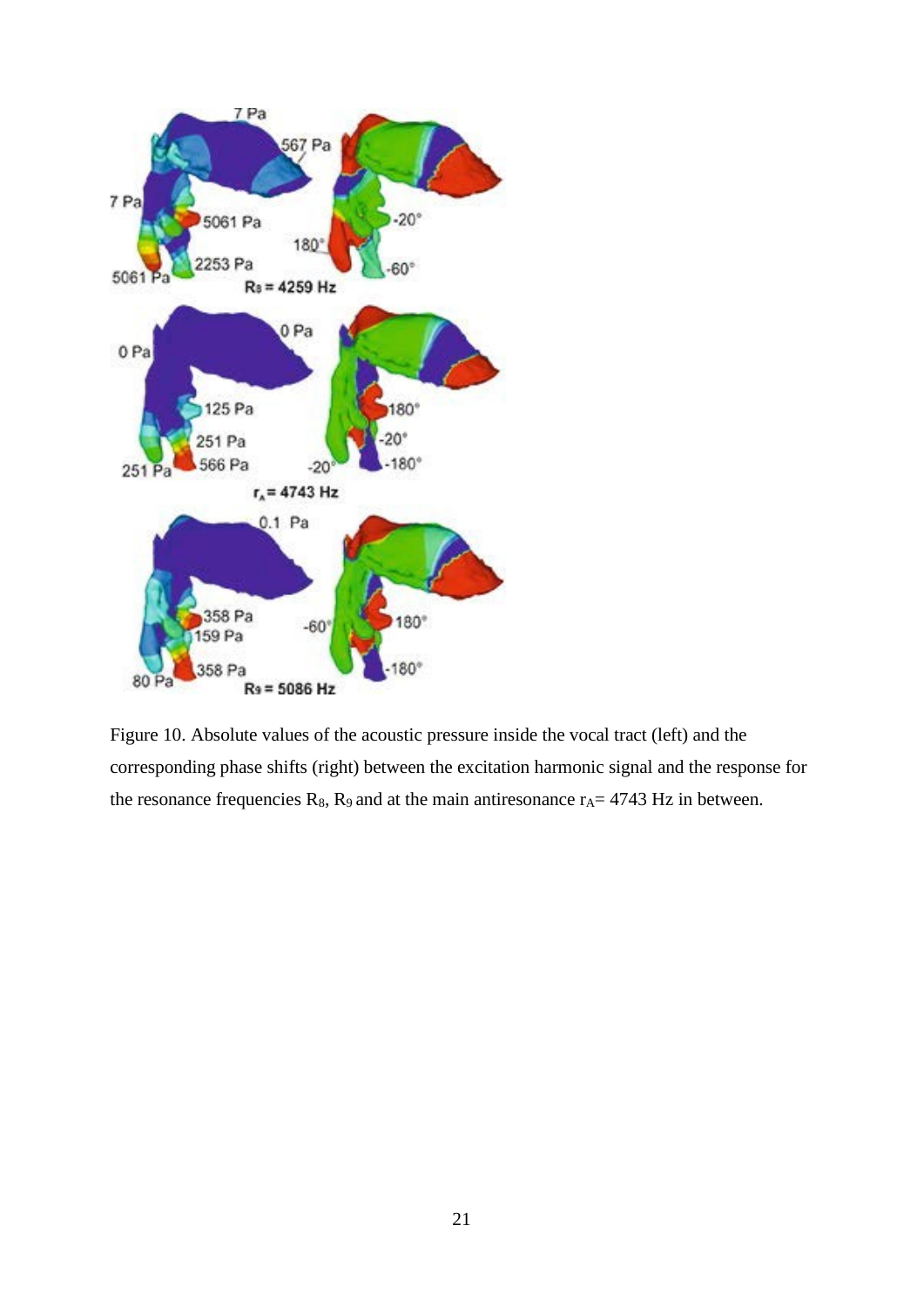

Figure 10. Absolute values of the acoustic pressure inside the vocal tract (left) and the corresponding phase shifts (right) between the excitation harmonic signal and the response for the resonance frequencies  $R_8$ ,  $R_9$  and at the main antiresonance  $r_A$  = 4743 Hz in between.